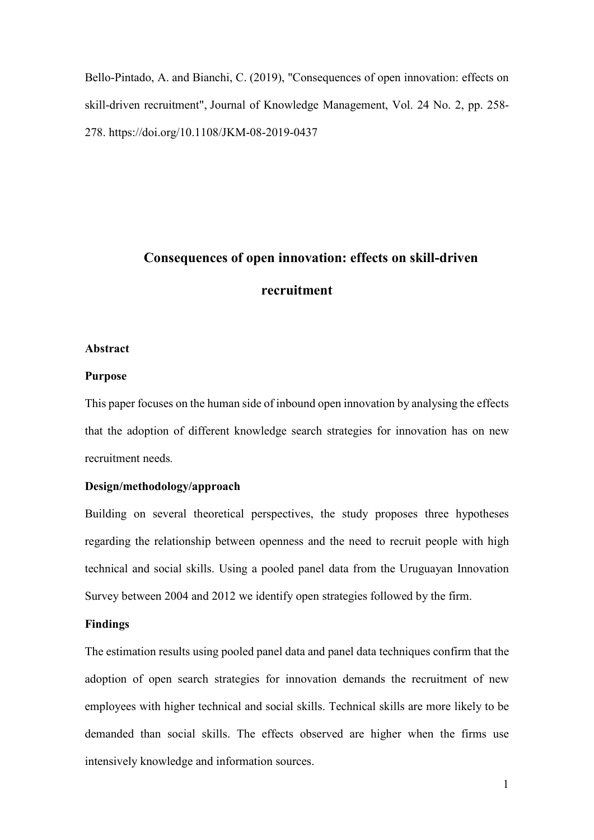[Bello-Pintado, A.](https://www.emerald.com/insight/search?q=Alejandro%20Bello-Pintado) and [Bianchi, C.](https://www.emerald.com/insight/search?q=Carlos%20Bianchi) (2019), "Consequences of open innovation: effects on skill-driven recruitment", [Journal of Knowledge Management,](https://www.emerald.com/insight/publication/issn/1367-3270) Vol. 24 No. 2, pp. 258- 278. <https://doi.org/10.1108/JKM-08-2019-0437>

# **Consequences of open innovation: effects on skill-driven**

#### **recruitment**

#### **Abstract**

#### **Purpose**

This paper focuses on the human side of inbound open innovation by analysing the effects that the adoption of different knowledge search strategies for innovation has on new recruitment needs*.*

#### **Design/methodology/approach**

Building on several theoretical perspectives, the study proposes three hypotheses regarding the relationship between openness and the need to recruit people with high technical and social skills. Using a pooled panel data from the Uruguayan Innovation Survey between 2004 and 2012 we identify open strategies followed by the firm.

#### **Findings**

The estimation results using pooled panel data and panel data techniques confirm that the adoption of open search strategies for innovation demands the recruitment of new employees with higher technical and social skills. Technical skills are more likely to be demanded than social skills. The effects observed are higher when the firms use intensively knowledge and information sources.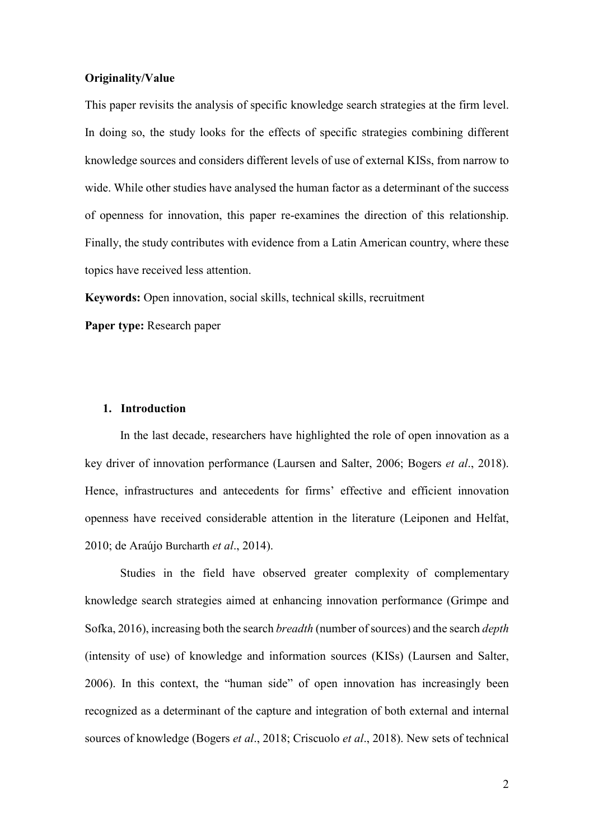#### **Originality/Value**

This paper revisits the analysis of specific knowledge search strategies at the firm level. In doing so, the study looks for the effects of specific strategies combining different knowledge sources and considers different levels of use of external KISs, from narrow to wide. While other studies have analysed the human factor as a determinant of the success of openness for innovation, this paper re-examines the direction of this relationship. Finally, the study contributes with evidence from a Latin American country, where these topics have received less attention.

**Keywords:** Open innovation, social skills, technical skills, recruitment

**Paper type:** Research paper

#### **1. Introduction**

In the last decade, researchers have highlighted the role of open innovation as a key driver of innovation performance (Laursen and Salter, 2006; Bogers *et al*., 2018). Hence, infrastructures and antecedents for firms' effective and efficient innovation openness have received considerable attention in the literature (Leiponen and Helfat, 2010; de Araújo Burcharth *et al*., 2014).

Studies in the field have observed greater complexity of complementary knowledge search strategies aimed at enhancing innovation performance (Grimpe and Sofka, 2016), increasing both the search *breadth* (number of sources) and the search *depth* (intensity of use) of knowledge and information sources (KISs) (Laursen and Salter, 2006). In this context, the "human side" of open innovation has increasingly been recognized as a determinant of the capture and integration of both external and internal sources of knowledge (Bogers *et al*., 2018; Criscuolo *et al*., 2018). New sets of technical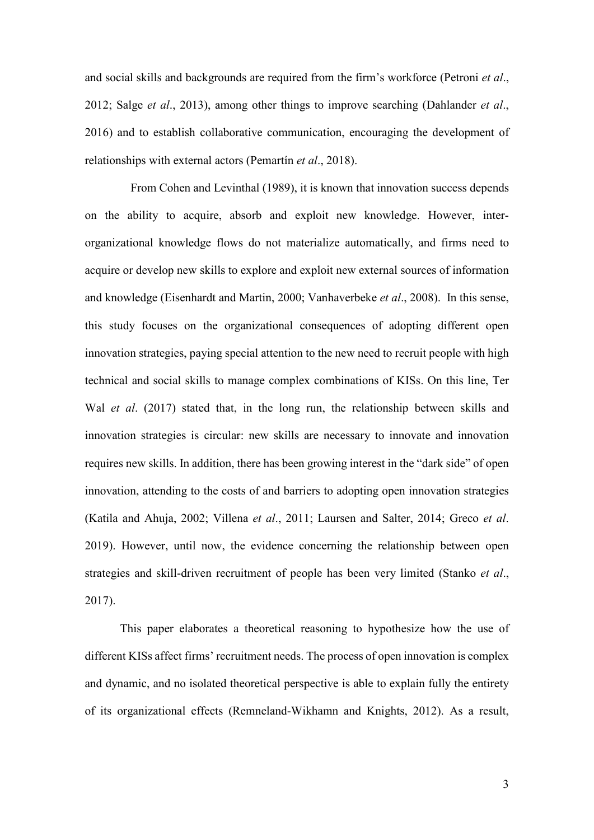and social skills and backgrounds are required from the firm's workforce (Petroni *et al*., 2012; Salge *et al*., 2013), among other things to improve searching (Dahlander *et al*., 2016) and to establish collaborative communication, encouraging the development of relationships with external actors (Pemartín *et al*., 2018).

From Cohen and Levinthal (1989), it is known that innovation success depends on the ability to acquire, absorb and exploit new knowledge. However, interorganizational knowledge flows do not materialize automatically, and firms need to acquire or develop new skills to explore and exploit new external sources of information and knowledge (Eisenhardt and Martin, 2000; Vanhaverbeke *et al*., 2008). In this sense, this study focuses on the organizational consequences of adopting different open innovation strategies, paying special attention to the new need to recruit people with high technical and social skills to manage complex combinations of KISs. On this line, Ter Wal *et al*. (2017) stated that, in the long run, the relationship between skills and innovation strategies is circular: new skills are necessary to innovate and innovation requires new skills. In addition, there has been growing interest in the "dark side" of open innovation, attending to the costs of and barriers to adopting open innovation strategies (Katila and Ahuja, 2002; Villena *et al*., 2011; Laursen and Salter, 2014; Greco *et al*. 2019). However, until now, the evidence concerning the relationship between open strategies and skill-driven recruitment of people has been very limited (Stanko *et al*., 2017).

This paper elaborates a theoretical reasoning to hypothesize how the use of different KISs affect firms' recruitment needs. The process of open innovation is complex and dynamic, and no isolated theoretical perspective is able to explain fully the entirety of its organizational effects (Remneland-Wikhamn and Knights, 2012). As a result,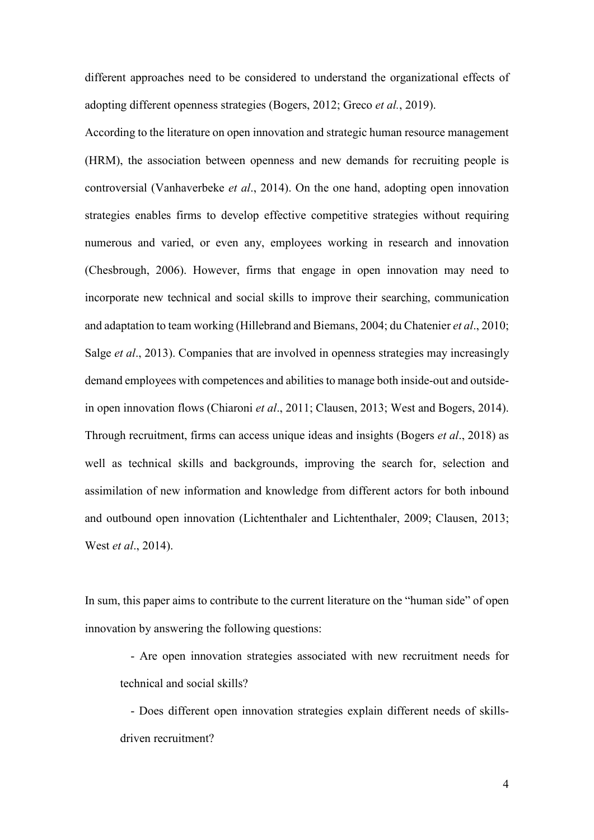different approaches need to be considered to understand the organizational effects of adopting different openness strategies (Bogers, 2012; Greco *et al.*, 2019).

According to the literature on open innovation and strategic human resource management (HRM), the association between openness and new demands for recruiting people is controversial (Vanhaverbeke *et al*., 2014). On the one hand, adopting open innovation strategies enables firms to develop effective competitive strategies without requiring numerous and varied, or even any, employees working in research and innovation (Chesbrough, 2006). However, firms that engage in open innovation may need to incorporate new technical and social skills to improve their searching, communication and adaptation to team working (Hillebrand and Biemans, 2004; du Chatenier *et al*., 2010; Salge *et al*., 2013). Companies that are involved in openness strategies may increasingly demand employees with competences and abilities to manage both inside-out and outsidein open innovation flows (Chiaroni *et al*., 2011; Clausen, 2013; West and Bogers, 2014). Through recruitment, firms can access unique ideas and insights (Bogers *et al*., 2018) as well as technical skills and backgrounds, improving the search for, selection and assimilation of new information and knowledge from different actors for both inbound and outbound open innovation (Lichtenthaler and Lichtenthaler, 2009; Clausen, 2013; West *et al*., 2014).

In sum, this paper aims to contribute to the current literature on the "human side" of open innovation by answering the following questions:

- Are open innovation strategies associated with new recruitment needs for technical and social skills?

- Does different open innovation strategies explain different needs of skillsdriven recruitment?

4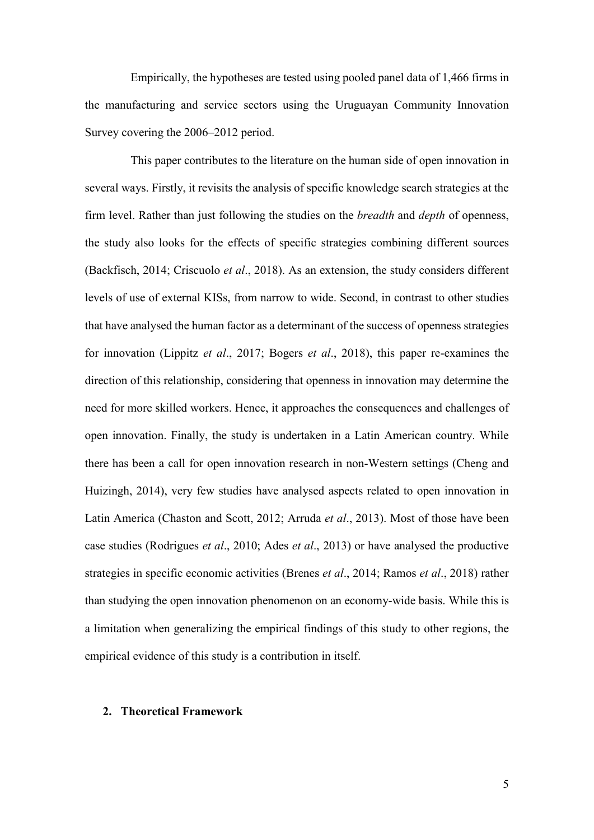Empirically, the hypotheses are tested using pooled panel data of 1,466 firms in the manufacturing and service sectors using the Uruguayan Community Innovation Survey covering the 2006–2012 period.

This paper contributes to the literature on the human side of open innovation in several ways. Firstly, it revisits the analysis of specific knowledge search strategies at the firm level. Rather than just following the studies on the *breadth* and *depth* of openness, the study also looks for the effects of specific strategies combining different sources (Backfisch, 2014; Criscuolo *et al*., 2018). As an extension, the study considers different levels of use of external KISs, from narrow to wide. Second, in contrast to other studies that have analysed the human factor as a determinant of the success of openness strategies for innovation (Lippitz *et al*., 2017; Bogers *et al*., 2018), this paper re-examines the direction of this relationship, considering that openness in innovation may determine the need for more skilled workers. Hence, it approaches the consequences and challenges of open innovation. Finally, the study is undertaken in a Latin American country. While there has been a call for open innovation research in non-Western settings (Cheng and Huizingh, 2014), very few studies have analysed aspects related to open innovation in Latin America (Chaston and Scott, 2012; Arruda *et al*., 2013). Most of those have been case studies (Rodrigues *et al*., 2010; Ades *et al*., 2013) or have analysed the productive strategies in specific economic activities (Brenes *et al*., 2014; Ramos *et al*., 2018) rather than studying the open innovation phenomenon on an economy-wide basis. While this is a limitation when generalizing the empirical findings of this study to other regions, the empirical evidence of this study is a contribution in itself.

#### **2. Theoretical Framework**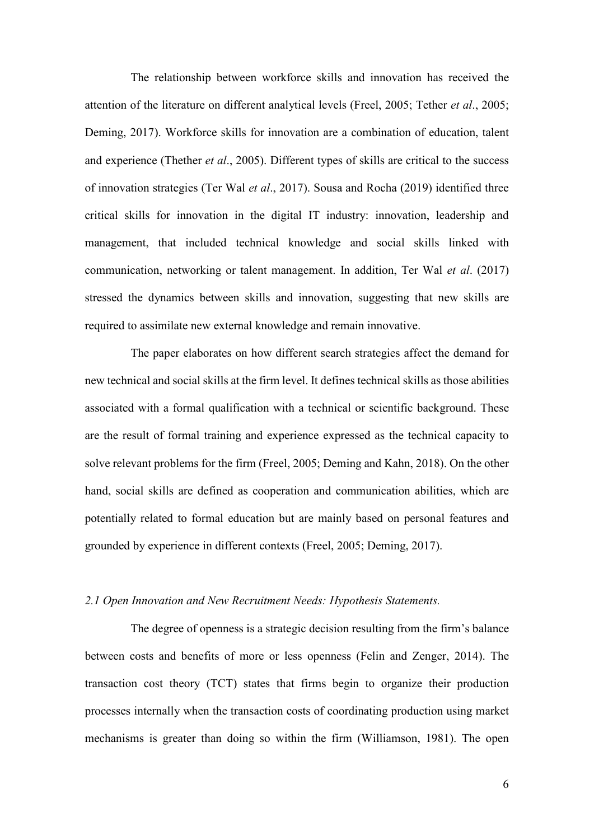The relationship between workforce skills and innovation has received the attention of the literature on different analytical levels (Freel, 2005; Tether *et al*., 2005; Deming, 2017). Workforce skills for innovation are a combination of education, talent and experience (Thether *et al*., 2005). Different types of skills are critical to the success of innovation strategies (Ter Wal *et al*., 2017). Sousa and Rocha (2019) identified three critical skills for innovation in the digital IT industry: innovation, leadership and management, that included technical knowledge and social skills linked with communication, networking or talent management. In addition, Ter Wal *et al*. (2017) stressed the dynamics between skills and innovation, suggesting that new skills are required to assimilate new external knowledge and remain innovative.

The paper elaborates on how different search strategies affect the demand for new technical and social skills at the firm level. It defines technical skills as those abilities associated with a formal qualification with a technical or scientific background. These are the result of formal training and experience expressed as the technical capacity to solve relevant problems for the firm (Freel, 2005; Deming and Kahn, 2018). On the other hand, social skills are defined as cooperation and communication abilities, which are potentially related to formal education but are mainly based on personal features and grounded by experience in different contexts (Freel, 2005; Deming, 2017).

#### *2.1 Open Innovation and New Recruitment Needs: Hypothesis Statements.*

The degree of openness is a strategic decision resulting from the firm's balance between costs and benefits of more or less openness (Felin and Zenger, 2014). The transaction cost theory (TCT) states that firms begin to organize their production processes internally when the [transaction](https://en.wikipedia.org/wiki/Transaction_cost) costs of coordinating production using market mechanisms is greater than doing so within the firm (Williamson, 1981). The open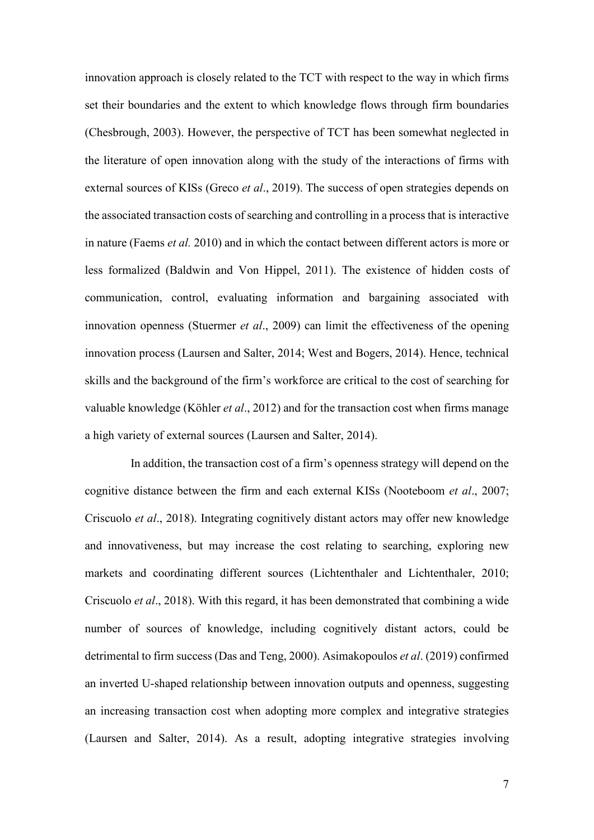innovation approach is closely related to the TCT with respect to the way in which firms set their boundaries and the extent to which knowledge flows through firm boundaries (Chesbrough, 2003). However, the perspective of TCT has been somewhat neglected in the literature of open innovation along with the study of the interactions of firms with external sources of KISs (Greco *et al*., 2019). The success of open strategies depends on the associated transaction costs of searching and controlling in a process that is interactive in nature (Faems *et al.* 2010) and in which the contact between different actors is more or less formalized (Baldwin and Von Hippel, 2011). The existence of hidden costs of communication, control, evaluating information and bargaining associated with innovation openness (Stuermer *et al*., 2009) can limit the effectiveness of the opening innovation process (Laursen and Salter, 2014; West and Bogers, 2014). Hence, technical skills and the background of the firm's workforce are critical to the cost of searching for valuable knowledge (Köhler *et al*., 2012) and for the transaction cost when firms manage a high variety of external sources (Laursen and Salter, 2014).

In addition, the transaction cost of a firm's openness strategy will depend on the cognitive distance between the firm and each external KISs (Nooteboom *et al*., 2007; Criscuolo *et al*., 2018). Integrating cognitively distant actors may offer new knowledge and innovativeness, but may increase the cost relating to searching, exploring new markets and coordinating different sources (Lichtenthaler and Lichtenthaler, 2010; Criscuolo *et al*., 2018). With this regard, it has been demonstrated that combining a wide number of sources of knowledge, including cognitively distant actors, could be detrimental to firm success (Das and Teng, 2000). Asimakopoulos *et al*. (2019) confirmed an inverted U-shaped relationship between innovation outputs and openness, suggesting an increasing transaction cost when adopting more complex and integrative strategies (Laursen and Salter, 2014). As a result, adopting integrative strategies involving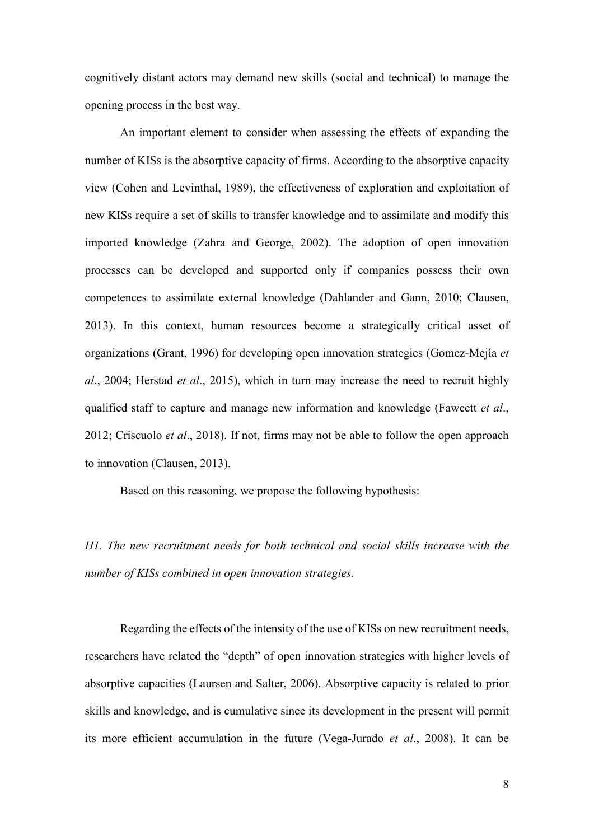cognitively distant actors may demand new skills (social and technical) to manage the opening process in the best way.

An important element to consider when assessing the effects of expanding the number of KISs is the absorptive capacity of firms. According to the absorptive capacity view (Cohen and Levinthal, 1989), the effectiveness of exploration and exploitation of new KISs require a set of skills to transfer knowledge and to assimilate and modify this imported knowledge (Zahra and George, 2002). The adoption of open innovation processes can be developed and supported only if companies possess their own competences to assimilate external knowledge (Dahlander and Gann, 2010; Clausen, 2013). In this context, human resources become a strategically critical asset of organizations (Grant, 1996) for developing open innovation strategies (Gomez-Mejía *et al*., 2004; Herstad *et al*., 2015), which in turn may increase the need to recruit highly qualified staff to capture and manage new information and knowledge (Fawcett *et al*., 2012; Criscuolo *et al*., 2018). If not, firms may not be able to follow the open approach to innovation (Clausen, 2013).

Based on this reasoning, we propose the following hypothesis:

*H1. The new recruitment needs for both technical and social skills increase with the number of KISs combined in open innovation strategies.* 

Regarding the effects of the intensity of the use of KISs on new recruitment needs, researchers have related the "depth" of open innovation strategies with higher levels of absorptive capacities (Laursen and Salter, 2006). Absorptive capacity is related to prior skills and knowledge, and is cumulative since its development in the present will permit its more efficient accumulation in the future (Vega-Jurado *et al*., 2008). It can be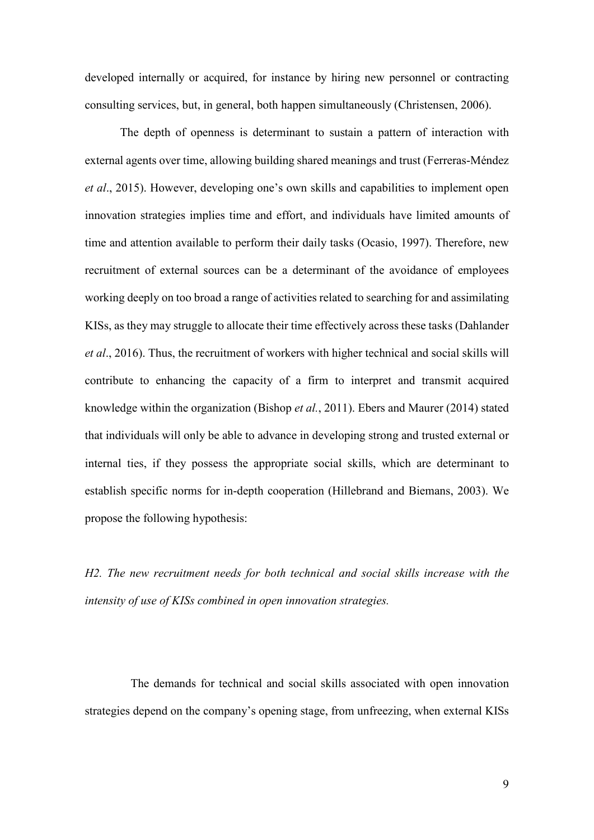developed internally or acquired, for instance by hiring new personnel or contracting consulting services, but, in general, both happen simultaneously (Christensen, 2006).

The depth of openness is determinant to sustain a pattern of interaction with external agents over time, allowing building shared meanings and trust (Ferreras-Méndez *et al*., 2015). However, developing one's own skills and capabilities to implement open innovation strategies implies time and effort, and individuals have limited amounts of time and attention available to perform their daily tasks (Ocasio, 1997). Therefore, new recruitment of external sources can be a determinant of the avoidance of employees working deeply on too broad a range of activities related to searching for and assimilating KISs, as they may struggle to allocate their time effectively across these tasks (Dahlander *et al*., 2016). Thus, the recruitment of workers with higher technical and social skills will contribute to enhancing the capacity of a firm to interpret and transmit acquired knowledge within the organization (Bishop *et al.*, 2011). Ebers and Maurer (2014) stated that individuals will only be able to advance in developing strong and trusted external or internal ties, if they possess the appropriate social skills, which are determinant to establish specific norms for in-depth cooperation (Hillebrand and Biemans, 2003). We propose the following hypothesis:

*H2. The new recruitment needs for both technical and social skills increase with the intensity of use of KISs combined in open innovation strategies.*

The demands for technical and social skills associated with open innovation strategies depend on the company's opening stage, from unfreezing, when external KISs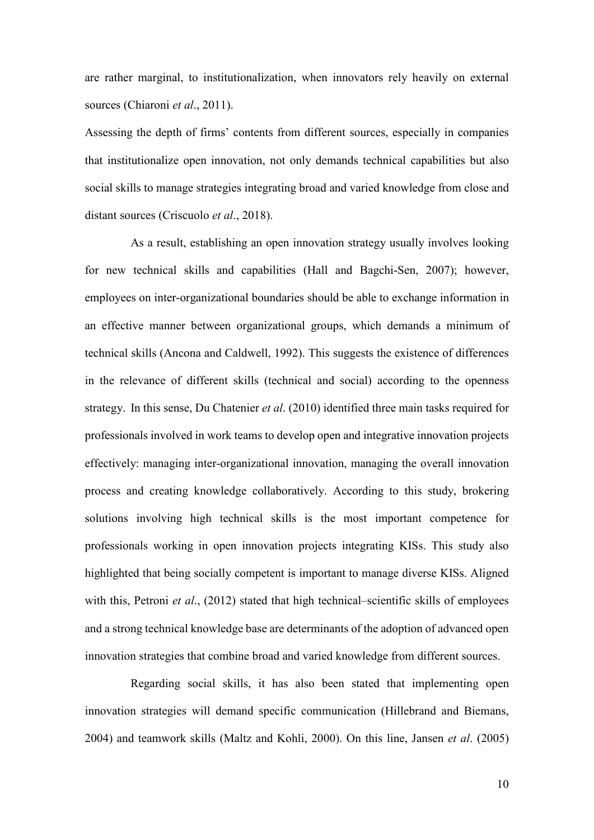are rather marginal, to institutionalization, when innovators rely heavily on external sources (Chiaroni *et al*., 2011).

Assessing the depth of firms' contents from different sources, especially in companies that institutionalize open innovation, not only demands technical capabilities but also social skills to manage strategies integrating broad and varied knowledge from close and distant sources (Criscuolo *et al*., 2018).

As a result, establishing an open innovation strategy usually involves looking for new technical skills and capabilities (Hall and Bagchi-Sen, 2007); however, employees on inter-organizational boundaries should be able to exchange information in an effective manner between organizational groups, which demands a minimum of technical skills (Ancona and Caldwell, 1992). This suggests the existence of differences in the relevance of different skills (technical and social) according to the openness strategy. In this sense, Du Chatenier *et al*. (2010) identified three main tasks required for professionals involved in work teams to develop open and integrative innovation projects effectively: managing inter-organizational innovation, managing the overall innovation process and creating knowledge collaboratively. According to this study, brokering solutions involving high technical skills is the most important competence for professionals working in open innovation projects integrating KISs. This study also highlighted that being socially competent is important to manage diverse KISs. Aligned with this, Petroni *et al.*, (2012) stated that high technical–scientific skills of employees and a strong technical knowledge base are determinants of the adoption of advanced open innovation strategies that combine broad and varied knowledge from different sources.

Regarding social skills, it has also been stated that implementing open innovation strategies will demand specific communication (Hillebrand and Biemans, 2004) and teamwork skills (Maltz and Kohli, 2000). On this line, Jansen *et al*. (2005)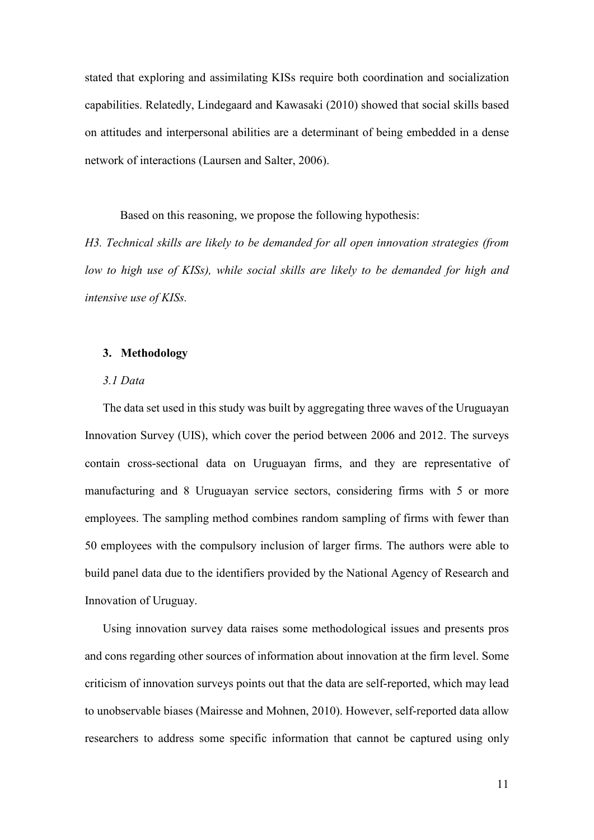stated that exploring and assimilating KISs require both coordination and socialization capabilities. Relatedly, Lindegaard and Kawasaki (2010) showed that social skills based on attitudes and interpersonal abilities are a determinant of being embedded in a dense network of interactions (Laursen and Salter, 2006).

Based on this reasoning, we propose the following hypothesis:

*H3. Technical skills are likely to be demanded for all open innovation strategies (from low to high use of KISs), while social skills are likely to be demanded for high and intensive use of KISs.* 

#### **3. Methodology**

#### *3.1 Data*

The data set used in this study was built by aggregating three waves of the Uruguayan Innovation Survey (UIS), which cover the period between 2006 and 2012. The surveys contain cross-sectional data on Uruguayan firms, and they are representative of manufacturing and 8 Uruguayan service sectors, considering firms with 5 or more employees. The sampling method combines random sampling of firms with fewer than 50 employees with the compulsory inclusion of larger firms. The authors were able to build panel data due to the identifiers provided by the National Agency of Research and Innovation of Uruguay.

Using innovation survey data raises some methodological issues and presents pros and cons regarding other sources of information about innovation at the firm level. Some criticism of innovation surveys points out that the data are self-reported, which may lead to unobservable biases (Mairesse and Mohnen, 2010). However, self-reported data allow researchers to address some specific information that cannot be captured using only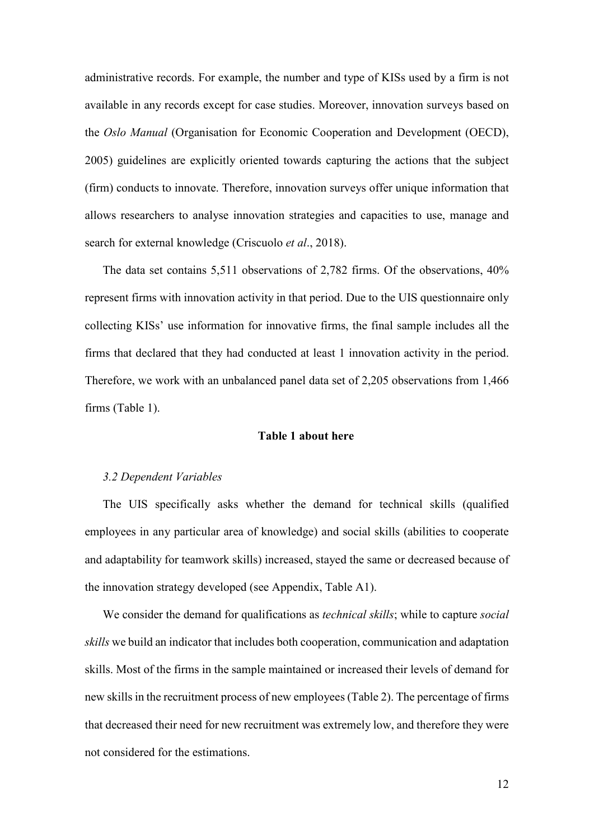administrative records. For example, the number and type of KISs used by a firm is not available in any records except for case studies. Moreover, innovation surveys based on the *Oslo Manual* (Organisation for Economic Cooperation and Development (OECD), 2005) guidelines are explicitly oriented towards capturing the actions that the subject (firm) conducts to innovate. Therefore, innovation surveys offer unique information that allows researchers to analyse innovation strategies and capacities to use, manage and search for external knowledge (Criscuolo *et al*., 2018).

The data set contains 5,511 observations of 2,782 firms. Of the observations, 40% represent firms with innovation activity in that period. Due to the UIS questionnaire only collecting KISs' use information for innovative firms, the final sample includes all the firms that declared that they had conducted at least 1 innovation activity in the period. Therefore, we work with an unbalanced panel data set of 2,205 observations from 1,466 firms (Table 1).

#### **Table 1 about here**

#### *3.2 Dependent Variables*

The UIS specifically asks whether the demand for technical skills (qualified employees in any particular area of knowledge) and social skills (abilities to cooperate and adaptability for teamwork skills) increased, stayed the same or decreased because of the innovation strategy developed (see Appendix, Table A1).

We consider the demand for qualifications as *technical skills*; while to capture *social skills* we build an indicator that includes both cooperation, communication and adaptation skills. Most of the firms in the sample maintained or increased their levels of demand for new skills in the recruitment process of new employees (Table 2). The percentage of firms that decreased their need for new recruitment was extremely low, and therefore they were not considered for the estimations.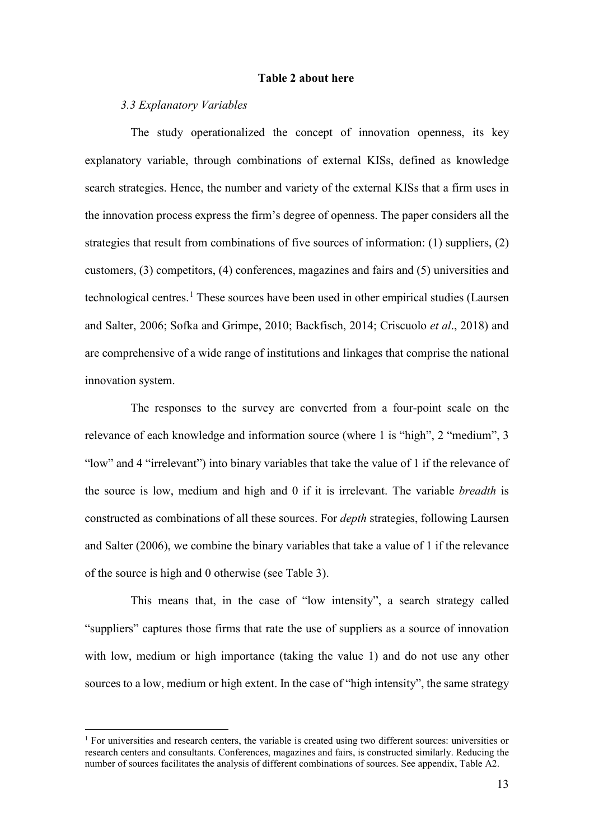#### **Table 2 about here**

#### *3.3 Explanatory Variables*

The study operationalized the concept of innovation openness, its key explanatory variable, through combinations of external KISs, defined as knowledge search strategies. Hence, the number and variety of the external KISs that a firm uses in the innovation process express the firm's degree of openness. The paper considers all the strategies that result from combinations of five sources of information: (1) suppliers, (2) customers, (3) competitors, (4) conferences, magazines and fairs and (5) universities and technological centres.<sup>[1](#page-12-0)</sup> These sources have been used in other empirical studies (Laursen and Salter, 2006; Sofka and Grimpe, 2010; Backfisch, 2014; Criscuolo *et al*., 2018) and are comprehensive of a wide range of institutions and linkages that comprise the national innovation system.

The responses to the survey are converted from a four-point scale on the relevance of each knowledge and information source (where 1 is "high", 2 "medium", 3 "low" and 4 "irrelevant") into binary variables that take the value of 1 if the relevance of the source is low, medium and high and 0 if it is irrelevant. The variable *breadth* is constructed as combinations of all these sources. For *depth* strategies, following Laursen and Salter (2006), we combine the binary variables that take a value of 1 if the relevance of the source is high and 0 otherwise (see Table 3).

This means that, in the case of "low intensity", a search strategy called "suppliers" captures those firms that rate the use of suppliers as a source of innovation with low, medium or high importance (taking the value 1) and do not use any other sources to a low, medium or high extent. In the case of "high intensity", the same strategy

<span id="page-12-0"></span><sup>&</sup>lt;sup>1</sup> For universities and research centers, the variable is created using two different sources: universities or research centers and consultants. Conferences, magazines and fairs, is constructed similarly. Reducing the number of sources facilitates the analysis of different combinations of sources. See appendix, Table A2.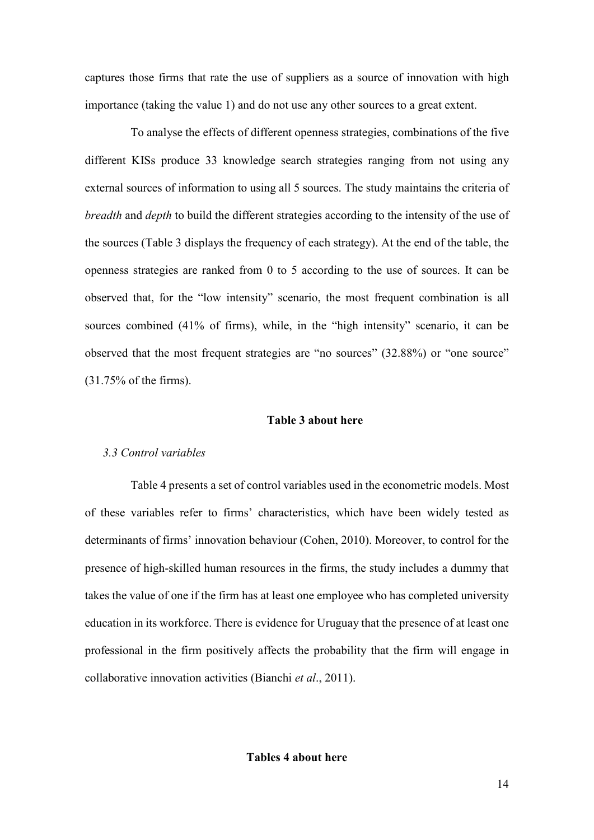captures those firms that rate the use of suppliers as a source of innovation with high importance (taking the value 1) and do not use any other sources to a great extent.

To analyse the effects of different openness strategies, combinations of the five different KISs produce 33 knowledge search strategies ranging from not using any external sources of information to using all 5 sources. The study maintains the criteria of *breadth* and *depth* to build the different strategies according to the intensity of the use of the sources (Table 3 displays the frequency of each strategy). At the end of the table, the openness strategies are ranked from 0 to 5 according to the use of sources. It can be observed that, for the "low intensity" scenario, the most frequent combination is all sources combined (41% of firms), while, in the "high intensity" scenario, it can be observed that the most frequent strategies are "no sources" (32.88%) or "one source" (31.75% of the firms).

#### **Table 3 about here**

#### *3.3 Control variables*

Table 4 presents a set of control variables used in the econometric models. Most of these variables refer to firms' characteristics, which have been widely tested as determinants of firms' innovation behaviour (Cohen, 2010). Moreover, to control for the presence of high-skilled human resources in the firms, the study includes a dummy that takes the value of one if the firm has at least one employee who has completed university education in its workforce. There is evidence for Uruguay that the presence of at least one professional in the firm positively affects the probability that the firm will engage in collaborative innovation activities (Bianchi *et al*., 2011).

**Tables 4 about here**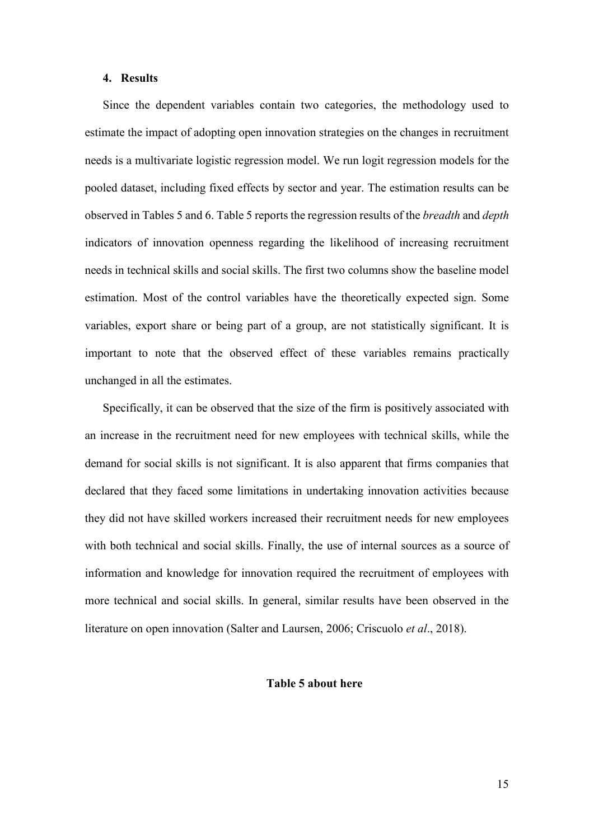#### **4. Results**

Since the dependent variables contain two categories, the methodology used to estimate the impact of adopting open innovation strategies on the changes in recruitment needs is a multivariate logistic regression model. We run logit regression models for the pooled dataset, including fixed effects by sector and year. The estimation results can be observed in Tables 5 and 6. Table 5 reports the regression results of the *breadth* and *depth* indicators of innovation openness regarding the likelihood of increasing recruitment needs in technical skills and social skills. The first two columns show the baseline model estimation. Most of the control variables have the theoretically expected sign. Some variables, export share or being part of a group, are not statistically significant. It is important to note that the observed effect of these variables remains practically unchanged in all the estimates.

Specifically, it can be observed that the size of the firm is positively associated with an increase in the recruitment need for new employees with technical skills, while the demand for social skills is not significant. It is also apparent that firms companies that declared that they faced some limitations in undertaking innovation activities because they did not have skilled workers increased their recruitment needs for new employees with both technical and social skills. Finally, the use of internal sources as a source of information and knowledge for innovation required the recruitment of employees with more technical and social skills. In general, similar results have been observed in the literature on open innovation (Salter and Laursen, 2006; Criscuolo *et al*., 2018).

#### **Table 5 about here**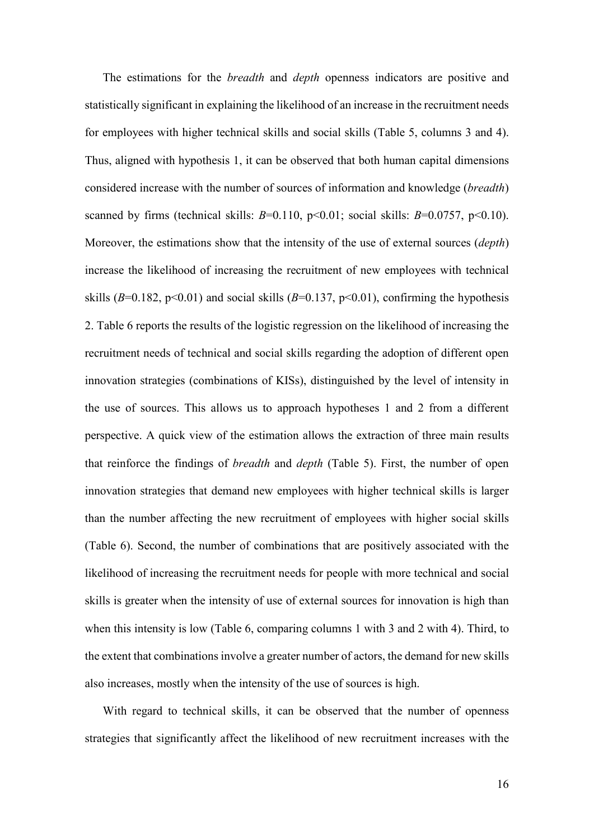The estimations for the *breadth* and *depth* openness indicators are positive and statistically significant in explaining the likelihood of an increase in the recruitment needs for employees with higher technical skills and social skills (Table 5, columns 3 and 4). Thus, aligned with hypothesis 1, it can be observed that both human capital dimensions considered increase with the number of sources of information and knowledge (*breadth*) scanned by firms (technical skills:  $B=0.110$ ,  $p<0.01$ ; social skills:  $B=0.0757$ ,  $p<0.10$ ). Moreover, the estimations show that the intensity of the use of external sources (*depth*) increase the likelihood of increasing the recruitment of new employees with technical skills ( $B=0.182$ ,  $p<0.01$ ) and social skills ( $B=0.137$ ,  $p<0.01$ ), confirming the hypothesis 2. Table 6 reports the results of the logistic regression on the likelihood of increasing the recruitment needs of technical and social skills regarding the adoption of different open innovation strategies (combinations of KISs), distinguished by the level of intensity in the use of sources. This allows us to approach hypotheses 1 and 2 from a different perspective. A quick view of the estimation allows the extraction of three main results that reinforce the findings of *breadth* and *depth* (Table 5). First, the number of open innovation strategies that demand new employees with higher technical skills is larger than the number affecting the new recruitment of employees with higher social skills (Table 6). Second, the number of combinations that are positively associated with the likelihood of increasing the recruitment needs for people with more technical and social skills is greater when the intensity of use of external sources for innovation is high than when this intensity is low (Table 6, comparing columns 1 with 3 and 2 with 4). Third, to the extent that combinations involve a greater number of actors, the demand for new skills also increases, mostly when the intensity of the use of sources is high.

With regard to technical skills, it can be observed that the number of openness strategies that significantly affect the likelihood of new recruitment increases with the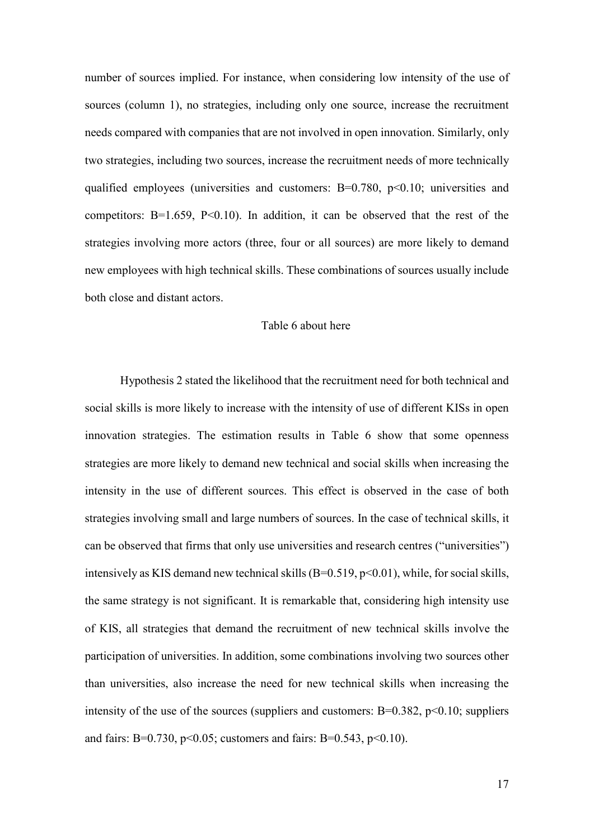number of sources implied. For instance, when considering low intensity of the use of sources (column 1), no strategies, including only one source, increase the recruitment needs compared with companies that are not involved in open innovation. Similarly, only two strategies, including two sources, increase the recruitment needs of more technically qualified employees (universities and customers:  $B=0.780$ ,  $p<0.10$ ; universities and competitors:  $B=1.659$ ,  $P<0.10$ ). In addition, it can be observed that the rest of the strategies involving more actors (three, four or all sources) are more likely to demand new employees with high technical skills. These combinations of sources usually include both close and distant actors.

#### Table 6 about here

Hypothesis 2 stated the likelihood that the recruitment need for both technical and social skills is more likely to increase with the intensity of use of different KISs in open innovation strategies. The estimation results in Table 6 show that some openness strategies are more likely to demand new technical and social skills when increasing the intensity in the use of different sources. This effect is observed in the case of both strategies involving small and large numbers of sources. In the case of technical skills, it can be observed that firms that only use universities and research centres ("universities") intensively as KIS demand new technical skills  $(B=0.519, p<0.01)$ , while, for social skills, the same strategy is not significant. It is remarkable that, considering high intensity use of KIS, all strategies that demand the recruitment of new technical skills involve the participation of universities. In addition, some combinations involving two sources other than universities, also increase the need for new technical skills when increasing the intensity of the use of the sources (suppliers and customers:  $B=0.382$ ,  $p<0.10$ ; suppliers and fairs: B=0.730, p<0.05; customers and fairs: B=0.543, p<0.10).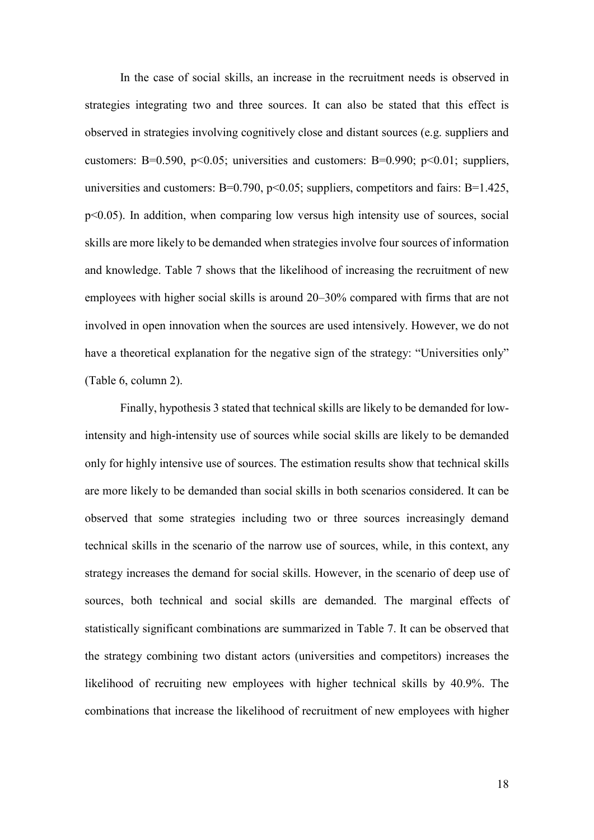In the case of social skills, an increase in the recruitment needs is observed in strategies integrating two and three sources. It can also be stated that this effect is observed in strategies involving cognitively close and distant sources (e.g. suppliers and customers: B=0.590, p<0.05; universities and customers: B=0.990; p<0.01; suppliers, universities and customers:  $B=0.790$ ,  $p<0.05$ ; suppliers, competitors and fairs:  $B=1.425$ , p<0.05). In addition, when comparing low versus high intensity use of sources, social skills are more likely to be demanded when strategies involve four sources of information and knowledge. Table 7 shows that the likelihood of increasing the recruitment of new employees with higher social skills is around 20–30% compared with firms that are not involved in open innovation when the sources are used intensively. However, we do not have a theoretical explanation for the negative sign of the strategy: "Universities only" (Table 6, column 2).

Finally, hypothesis 3 stated that technical skills are likely to be demanded for lowintensity and high-intensity use of sources while social skills are likely to be demanded only for highly intensive use of sources. The estimation results show that technical skills are more likely to be demanded than social skills in both scenarios considered. It can be observed that some strategies including two or three sources increasingly demand technical skills in the scenario of the narrow use of sources, while, in this context, any strategy increases the demand for social skills. However, in the scenario of deep use of sources, both technical and social skills are demanded. The marginal effects of statistically significant combinations are summarized in Table 7. It can be observed that the strategy combining two distant actors (universities and competitors) increases the likelihood of recruiting new employees with higher technical skills by 40.9%. The combinations that increase the likelihood of recruitment of new employees with higher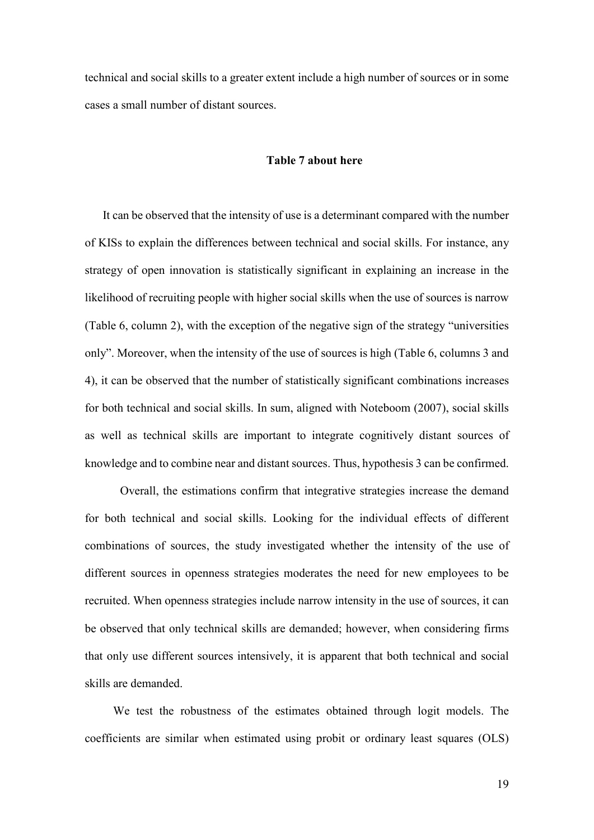technical and social skills to a greater extent include a high number of sources or in some cases a small number of distant sources.

#### **Table 7 about here**

It can be observed that the intensity of use is a determinant compared with the number of KISs to explain the differences between technical and social skills. For instance, any strategy of open innovation is statistically significant in explaining an increase in the likelihood of recruiting people with higher social skills when the use of sources is narrow (Table 6, column 2), with the exception of the negative sign of the strategy "universities only". Moreover, when the intensity of the use of sources is high (Table 6, columns 3 and 4), it can be observed that the number of statistically significant combinations increases for both technical and social skills. In sum, aligned with Noteboom (2007), social skills as well as technical skills are important to integrate cognitively distant sources of knowledge and to combine near and distant sources. Thus, hypothesis 3 can be confirmed.

Overall, the estimations confirm that integrative strategies increase the demand for both technical and social skills. Looking for the individual effects of different combinations of sources, the study investigated whether the intensity of the use of different sources in openness strategies moderates the need for new employees to be recruited. When openness strategies include narrow intensity in the use of sources, it can be observed that only technical skills are demanded; however, when considering firms that only use different sources intensively, it is apparent that both technical and social skills are demanded.

We test the robustness of the estimates obtained through logit models. The coefficients are similar when estimated using probit or ordinary least squares (OLS)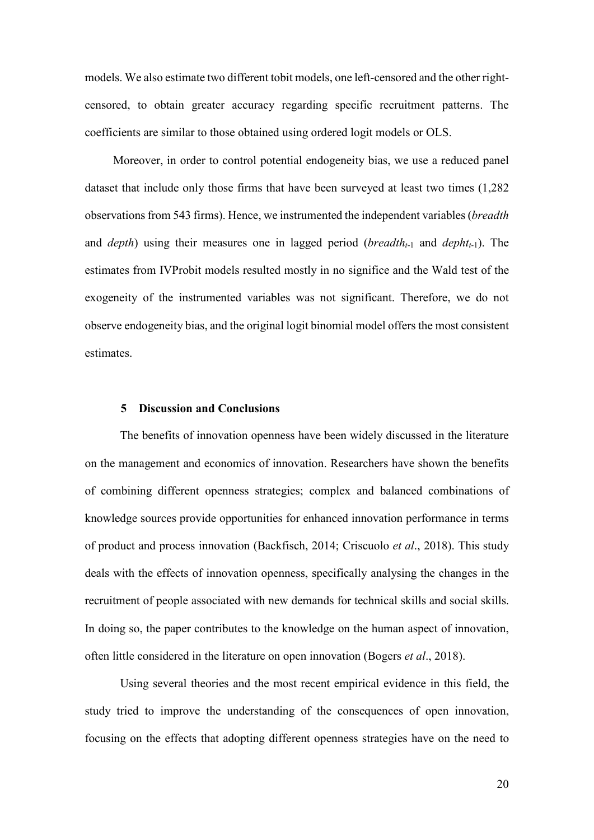models. We also estimate two different tobit models, one left-censored and the other rightcensored, to obtain greater accuracy regarding specific recruitment patterns. The coefficients are similar to those obtained using ordered logit models or OLS.

Moreover, in order to control potential endogeneity bias, we use a reduced panel dataset that include only those firms that have been surveyed at least two times (1,282 observations from 543 firms). Hence, we instrumented the independent variables (*breadth* and *depth*) using their measures one in lagged period (*breadtht*-1 and *dephtt*-1). The estimates from IVProbit models resulted mostly in no significe and the Wald test of the exogeneity of the instrumented variables was not significant. Therefore, we do not observe endogeneity bias, and the original logit binomial model offers the most consistent estimates.

#### **5 Discussion and Conclusions**

The benefits of innovation openness have been widely discussed in the literature on the management and economics of innovation. Researchers have shown the benefits of combining different openness strategies; complex and balanced combinations of knowledge sources provide opportunities for enhanced innovation performance in terms of product and process innovation (Backfisch, 2014; Criscuolo *et al*., 2018). This study deals with the effects of innovation openness, specifically analysing the changes in the recruitment of people associated with new demands for technical skills and social skills. In doing so, the paper contributes to the knowledge on the human aspect of innovation, often little considered in the literature on open innovation (Bogers *et al*., 2018).

Using several theories and the most recent empirical evidence in this field, the study tried to improve the understanding of the consequences of open innovation, focusing on the effects that adopting different openness strategies have on the need to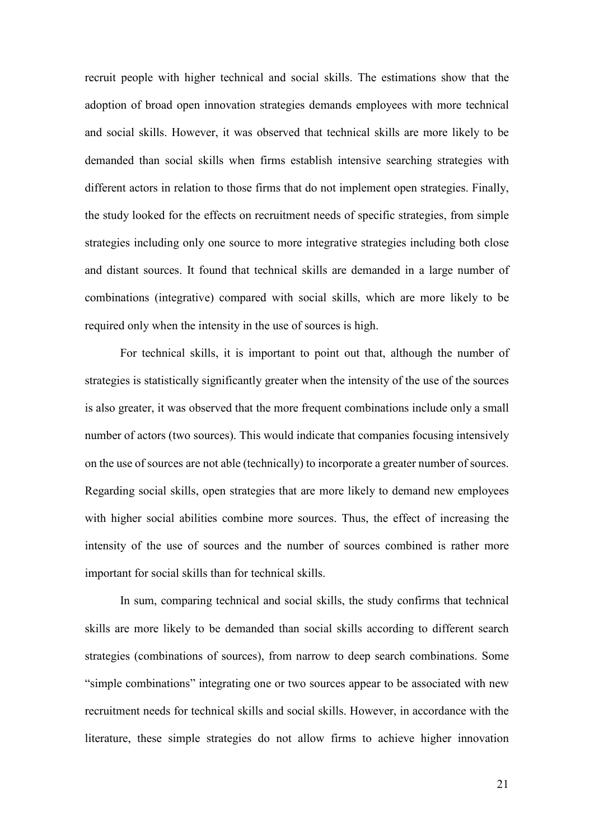recruit people with higher technical and social skills. The estimations show that the adoption of broad open innovation strategies demands employees with more technical and social skills. However, it was observed that technical skills are more likely to be demanded than social skills when firms establish intensive searching strategies with different actors in relation to those firms that do not implement open strategies. Finally, the study looked for the effects on recruitment needs of specific strategies, from simple strategies including only one source to more integrative strategies including both close and distant sources. It found that technical skills are demanded in a large number of combinations (integrative) compared with social skills, which are more likely to be required only when the intensity in the use of sources is high.

For technical skills, it is important to point out that, although the number of strategies is statistically significantly greater when the intensity of the use of the sources is also greater, it was observed that the more frequent combinations include only a small number of actors (two sources). This would indicate that companies focusing intensively on the use of sources are not able (technically) to incorporate a greater number of sources. Regarding social skills, open strategies that are more likely to demand new employees with higher social abilities combine more sources. Thus, the effect of increasing the intensity of the use of sources and the number of sources combined is rather more important for social skills than for technical skills.

In sum, comparing technical and social skills, the study confirms that technical skills are more likely to be demanded than social skills according to different search strategies (combinations of sources), from narrow to deep search combinations. Some "simple combinations" integrating one or two sources appear to be associated with new recruitment needs for technical skills and social skills. However, in accordance with the literature, these simple strategies do not allow firms to achieve higher innovation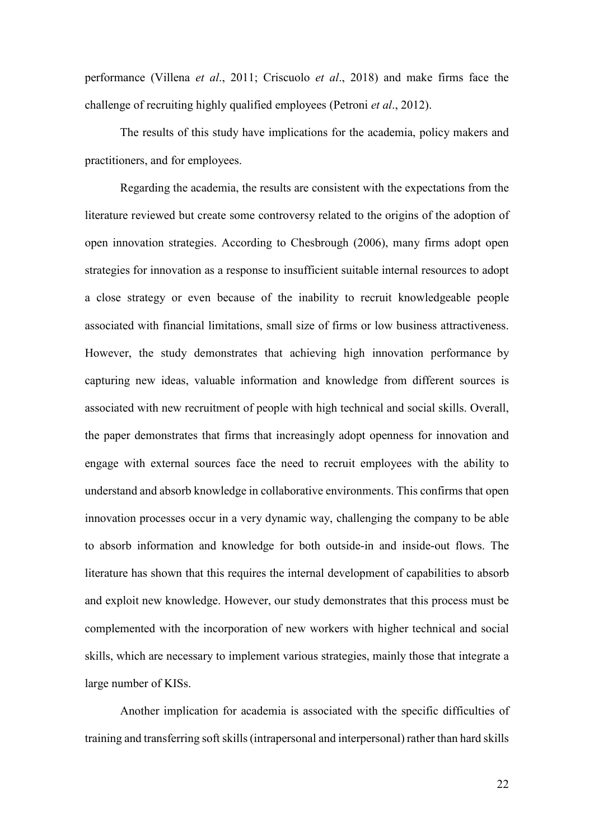performance (Villena *et al*., 2011; Criscuolo *et al*., 2018) and make firms face the challenge of recruiting highly qualified employees (Petroni *et al*., 2012).

The results of this study have implications for the academia, policy makers and practitioners, and for employees.

Regarding the academia, the results are consistent with the expectations from the literature reviewed but create some controversy related to the origins of the adoption of open innovation strategies. According to Chesbrough (2006), many firms adopt open strategies for innovation as a response to insufficient suitable internal resources to adopt a close strategy or even because of the inability to recruit knowledgeable people associated with financial limitations, small size of firms or low business attractiveness. However, the study demonstrates that achieving high innovation performance by capturing new ideas, valuable information and knowledge from different sources is associated with new recruitment of people with high technical and social skills. Overall, the paper demonstrates that firms that increasingly adopt openness for innovation and engage with external sources face the need to recruit employees with the ability to understand and absorb knowledge in collaborative environments. This confirms that open innovation processes occur in a very dynamic way, challenging the company to be able to absorb information and knowledge for both outside-in and inside-out flows. The literature has shown that this requires the internal development of capabilities to absorb and exploit new knowledge. However, our study demonstrates that this process must be complemented with the incorporation of new workers with higher technical and social skills, which are necessary to implement various strategies, mainly those that integrate a large number of KISs.

Another implication for academia is associated with the specific difficulties of training and transferring soft skills (intrapersonal and interpersonal) rather than hard skills

22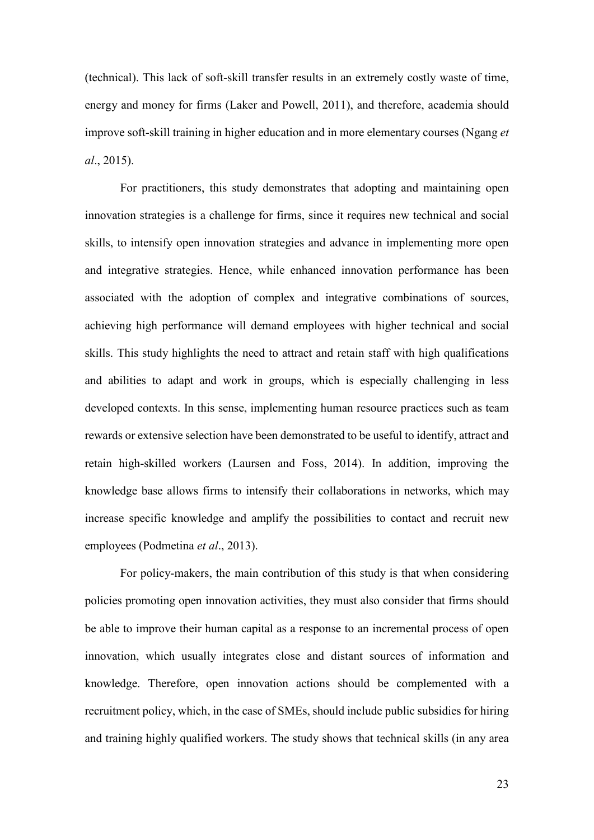(technical). This lack of soft-skill transfer results in an extremely costly waste of time, energy and money for firms (Laker and Powell, 2011), and therefore, academia should improve soft-skill training in higher education and in more elementary courses (Ngang *et al*., 2015).

For practitioners, this study demonstrates that adopting and maintaining open innovation strategies is a challenge for firms, since it requires new technical and social skills, to intensify open innovation strategies and advance in implementing more open and integrative strategies. Hence, while enhanced innovation performance has been associated with the adoption of complex and integrative combinations of sources, achieving high performance will demand employees with higher technical and social skills. This study highlights the need to attract and retain staff with high qualifications and abilities to adapt and work in groups, which is especially challenging in less developed contexts. In this sense, implementing human resource practices such as team rewards or extensive selection have been demonstrated to be useful to identify, attract and retain high-skilled workers (Laursen and Foss, 2014). In addition, improving the knowledge base allows firms to intensify their collaborations in networks, which may increase specific knowledge and amplify the possibilities to contact and recruit new employees (Podmetina *et al*., 2013).

For policy-makers, the main contribution of this study is that when considering policies promoting open innovation activities, they must also consider that firms should be able to improve their human capital as a response to an incremental process of open innovation, which usually integrates close and distant sources of information and knowledge. Therefore, open innovation actions should be complemented with a recruitment policy, which, in the case of SMEs, should include public subsidies for hiring and training highly qualified workers. The study shows that technical skills (in any area

23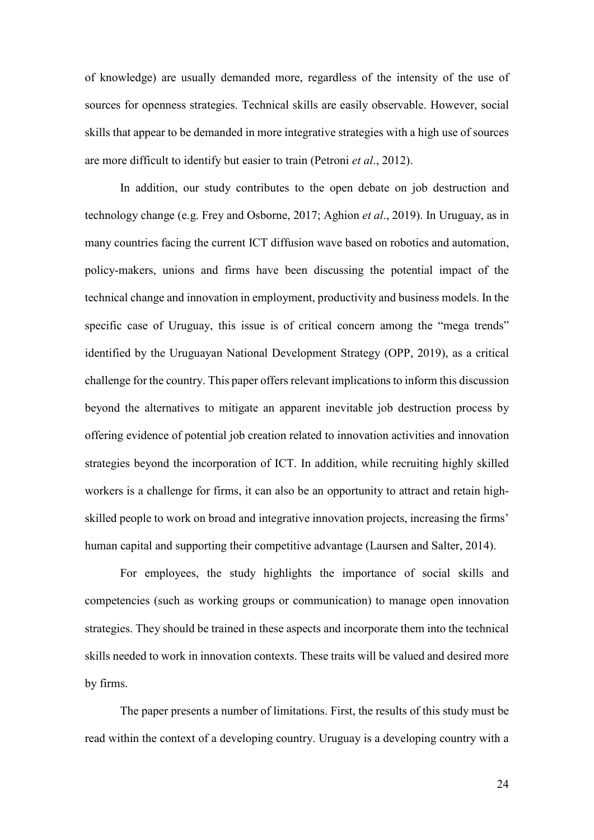of knowledge) are usually demanded more, regardless of the intensity of the use of sources for openness strategies. Technical skills are easily observable. However, social skills that appear to be demanded in more integrative strategies with a high use of sources are more difficult to identify but easier to train (Petroni *et al*., 2012).

In addition, our study contributes to the open debate on job destruction and technology change (e.g. Frey and Osborne, 2017; Aghion *et al*., 2019). In Uruguay, as in many countries facing the current ICT diffusion wave based on robotics and automation, policy-makers, unions and firms have been discussing the potential impact of the technical change and innovation in employment, productivity and business models. In the specific case of Uruguay, this issue is of critical concern among the "mega trends" identified by the Uruguayan National Development Strategy (OPP, 2019), as a critical challenge for the country. This paper offers relevant implications to inform this discussion beyond the alternatives to mitigate an apparent inevitable job destruction process by offering evidence of potential job creation related to innovation activities and innovation strategies beyond the incorporation of ICT. In addition, while recruiting highly skilled workers is a challenge for firms, it can also be an opportunity to attract and retain highskilled people to work on broad and integrative innovation projects, increasing the firms' human capital and supporting their competitive advantage (Laursen and Salter, 2014).

For employees, the study highlights the importance of social skills and competencies (such as working groups or communication) to manage open innovation strategies. They should be trained in these aspects and incorporate them into the technical skills needed to work in innovation contexts. These traits will be valued and desired more by firms.

The paper presents a number of limitations. First, the results of this study must be read within the context of a developing country. Uruguay is a developing country with a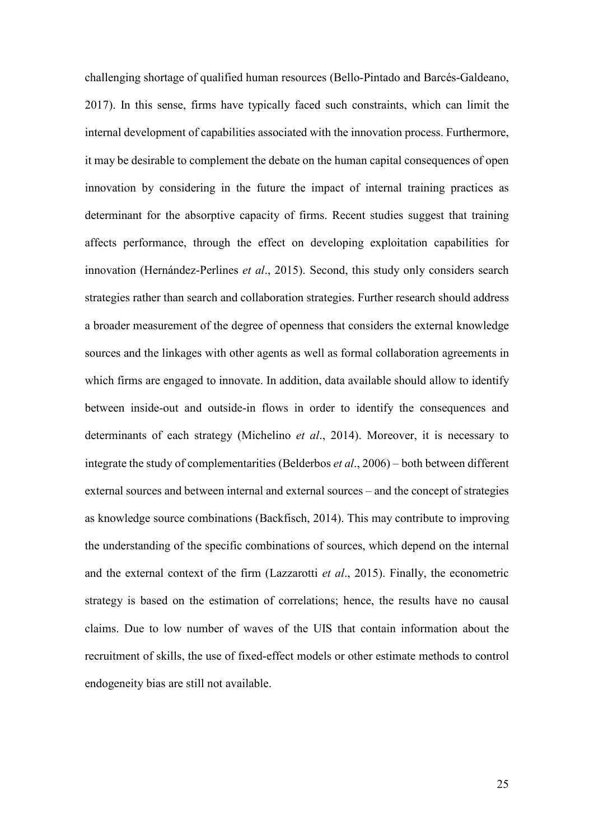challenging shortage of qualified human resources (Bello-Pintado and Barcés-Galdeano, 2017). In this sense, firms have typically faced such constraints, which can limit the internal development of capabilities associated with the innovation process. Furthermore, it may be desirable to complement the debate on the human capital consequences of open innovation by considering in the future the impact of internal training practices as determinant for the absorptive capacity of firms. Recent studies suggest that training affects performance, through the effect on developing exploitation capabilities for innovation (Hernández-Perlines *et al*., 2015). Second, this study only considers search strategies rather than search and collaboration strategies. Further research should address a broader measurement of the degree of openness that considers the external knowledge sources and the linkages with other agents as well as formal collaboration agreements in which firms are engaged to innovate. In addition, data available should allow to identify between inside-out and outside-in flows in order to identify the consequences and determinants of each strategy (Michelino *et al*., 2014). Moreover, it is necessary to integrate the study of complementarities (Belderbos *et al*., 2006) – both between different external sources and between internal and external sources – and the concept of strategies as knowledge source combinations (Backfisch, 2014). This may contribute to improving the understanding of the specific combinations of sources, which depend on the internal and the external context of the firm (Lazzarotti *et al*., 2015). Finally, the econometric strategy is based on the estimation of correlations; hence, the results have no causal claims. Due to low number of waves of the UIS that contain information about the recruitment of skills, the use of fixed-effect models or other estimate methods to control endogeneity bias are still not available.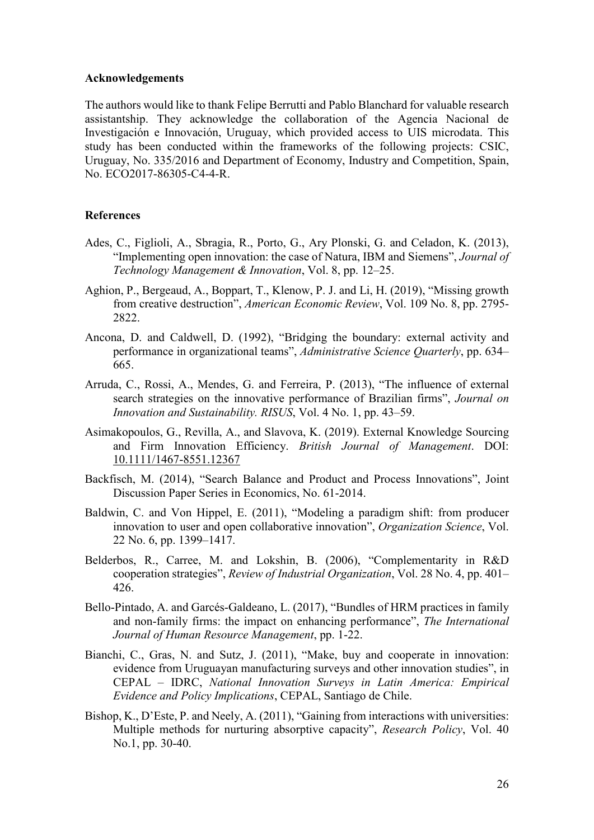#### **Acknowledgements**

The authors would like to thank Felipe Berrutti and Pablo Blanchard for valuable research assistantship. They acknowledge the collaboration of the Agencia Nacional de Investigación e Innovación, Uruguay, which provided access to UIS microdata. This study has been conducted within the frameworks of the following projects: CSIC, Uruguay, No. 335/2016 and Department of Economy, Industry and Competition, Spain, No. ECO2017-86305-C4-4-R.

#### **References**

- Ades, C., Figlioli, A., Sbragia, R., Porto, G., Ary Plonski, G. and Celadon, K. (2013), "Implementing open innovation: the case of Natura, IBM and Siemens", *Journal of Technology Management & Innovation*, Vol. 8, pp. 12–25.
- Aghion, P., Bergeaud, A., Boppart, T., Klenow, P. J. and Li, H. (2019), "Missing growth from creative destruction", *American Economic Review*, Vol. 109 No. 8, pp. 2795- 2822.
- Ancona, D. and Caldwell, D. (1992), "Bridging the boundary: external activity and performance in organizational teams", *Administrative Science Quarterly*, pp. 634– 665.
- Arruda, C., Rossi, A., Mendes, G. and Ferreira, P. (2013), "The influence of external search strategies on the innovative performance of Brazilian firms", *Journal on Innovation and Sustainability. RISUS*, Vol. 4 No. 1, pp. 43–59.
- Asimakopoulos, G., Revilla, A., and Slavova, K. (2019). External Knowledge Sourcing and Firm Innovation Efficiency. *British Journal of Management*. DOI: [10.1111/1467-8551.12367](https://doi.org/10.1111/1467-8551.12367)
- Backfisch, M. (2014), "Search Balance and Product and Process Innovations", Joint Discussion Paper Series in Economics, No. 61-2014.
- Baldwin, C. and Von Hippel, E. (2011), "Modeling a paradigm shift: from producer innovation to user and open collaborative innovation", *Organization Science*, Vol. 22 No. 6, pp. 1399–1417.
- Belderbos, R., Carree, M. and Lokshin, B. (2006), "Complementarity in R&D cooperation strategies", *Review of Industrial Organization*, Vol. 28 No. 4, pp. 401– 426.
- Bello-Pintado, A. and Garcés-Galdeano, L. (2017), "Bundles of HRM practices in family and non-family firms: the impact on enhancing performance", *The International Journal of Human Resource Management*, pp. 1-22.
- Bianchi, C., Gras, N. and Sutz, J. (2011), "Make, buy and cooperate in innovation: evidence from Uruguayan manufacturing surveys and other innovation studies", in CEPAL – IDRC, *National Innovation Surveys in Latin America: Empirical Evidence and Policy Implications*, CEPAL, Santiago de Chile.
- Bishop, K., D'Este, P. and Neely, A. (2011), "Gaining from interactions with universities: Multiple methods for nurturing absorptive capacity", *Research Policy*, Vol. 40 No.1, pp. 30-40.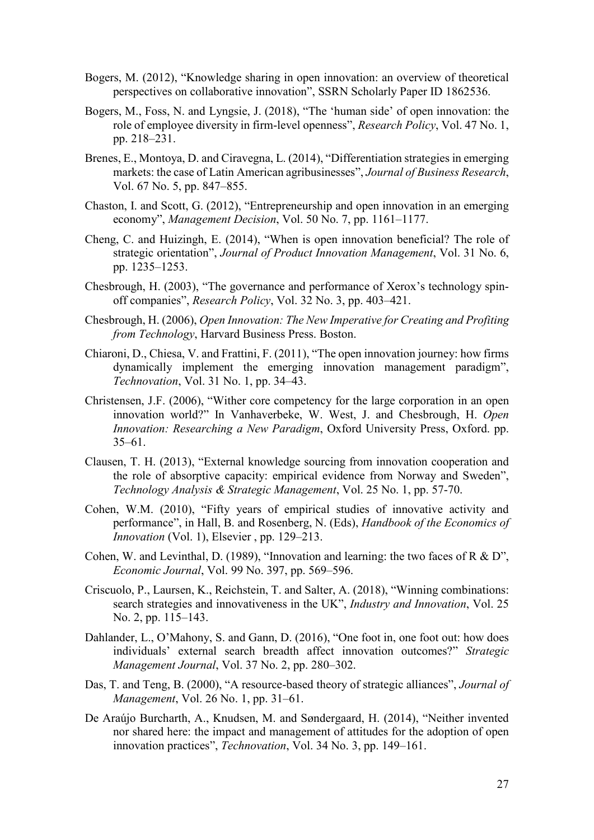- Bogers, M. (2012), "Knowledge sharing in open innovation: an overview of theoretical perspectives on collaborative innovation", SSRN Scholarly Paper ID 1862536.
- Bogers, M., Foss, N. and Lyngsie, J. (2018), "The 'human side' of open innovation: the role of employee diversity in firm-level openness", *Research Policy*, Vol. 47 No. 1, pp. 218–231.
- Brenes, E., Montoya, D. and Ciravegna, L. (2014), "Differentiation strategies in emerging markets: the case of Latin American agribusinesses", *Journal of Business Research*, Vol. 67 No. 5, pp. 847–855.
- Chaston, I. and Scott, G. (2012), "Entrepreneurship and open innovation in an emerging economy", *Management Decision*, Vol. 50 No. 7, pp. 1161–1177.
- Cheng, C. and Huizingh, E. (2014), "When is open innovation beneficial? The role of strategic orientation", *Journal of Product Innovation Management*, Vol. 31 No. 6, pp. 1235–1253.
- Chesbrough, H. (2003), "The governance and performance of Xerox's technology spinoff companies", *Research Policy*, Vol. 32 No. 3, pp. 403–421.
- Chesbrough, H. (2006), *Open Innovation: The New Imperative for Creating and Profiting from Technology*, Harvard Business Press. Boston.
- Chiaroni, D., Chiesa, V. and Frattini, F. (2011), "The open innovation journey: how firms dynamically implement the emerging innovation management paradigm", *Technovation*, Vol. 31 No. 1, pp. 34–43.
- Christensen, J.F. (2006), "Wither core competency for the large corporation in an open innovation world?" In Vanhaverbeke, W. West, J. and Chesbrough, H. *Open Innovation: Researching a New Paradigm*, Oxford University Press, Oxford. pp. 35–61.
- Clausen, T. H. (2013), "External knowledge sourcing from innovation cooperation and the role of absorptive capacity: empirical evidence from Norway and Sweden", *Technology Analysis & Strategic Management*, Vol. 25 No. 1, pp. 57-70.
- Cohen, W.M. (2010), "Fifty years of empirical studies of innovative activity and performance", in Hall, B. and Rosenberg, N. (Eds), *Handbook of the Economics of Innovation* (Vol. 1), Elsevier , pp. 129–213.
- Cohen, W. and Levinthal, D. (1989), "Innovation and learning: the two faces of R & D", *Economic Journal*, Vol. 99 No. 397, pp. 569–596.
- Criscuolo, P., Laursen, K., Reichstein, T. and Salter, A. (2018), "Winning combinations: search strategies and innovativeness in the UK", *Industry and Innovation*, Vol. 25 No. 2, pp. 115–143.
- Dahlander, L., O'Mahony, S. and Gann, D. (2016), "One foot in, one foot out: how does individuals' external search breadth affect innovation outcomes?" *Strategic Management Journal*, Vol. 37 No. 2, pp. 280–302.
- Das, T. and Teng, B. (2000), "A resource-based theory of strategic alliances", *Journal of Management*, Vol. 26 No. 1, pp. 31–61.
- De Araújo Burcharth, A., Knudsen, M. and Søndergaard, H. (2014), "Neither invented nor shared here: the impact and management of attitudes for the adoption of open innovation practices", *Technovation*, Vol. 34 No. 3, pp. 149–161.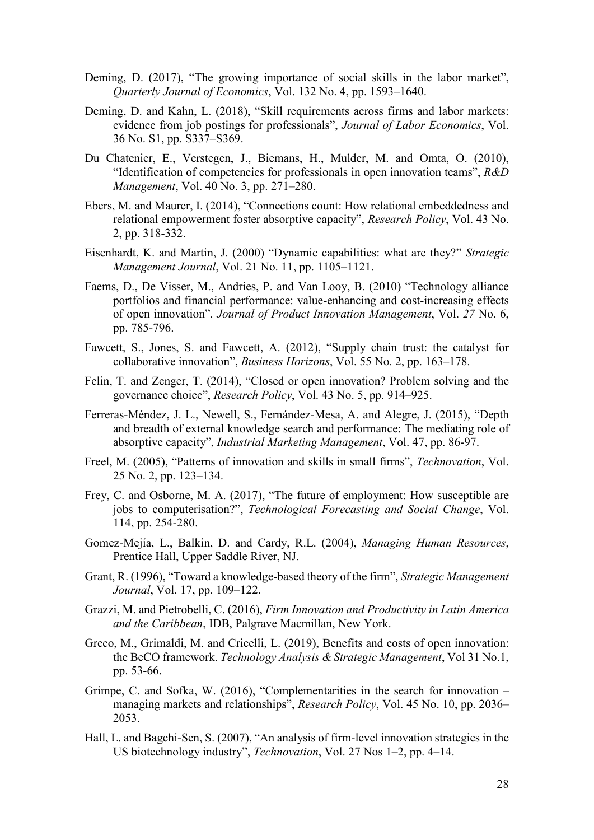- Deming, D. (2017), "The growing importance of social skills in the labor market", *Quarterly Journal of Economics*, Vol. 132 No. 4, pp. 1593–1640.
- Deming, D. and Kahn, L. (2018), "Skill requirements across firms and labor markets: evidence from job postings for professionals", *Journal of Labor Economics*, Vol. 36 No. S1, pp. S337–S369.
- Du Chatenier, E., Verstegen, J., Biemans, H., Mulder, M. and Omta, O. (2010), "Identification of competencies for professionals in open innovation teams", *R&D Management*, Vol. 40 No. 3, pp. 271–280.
- Ebers, M. and Maurer, I. (2014), "Connections count: How relational embeddedness and relational empowerment foster absorptive capacity", *Research Policy*, Vol. 43 No. 2, pp. 318-332.
- Eisenhardt, K. and Martin, J. (2000) "Dynamic capabilities: what are they?" *Strategic Management Journal*, Vol. 21 No. 11, pp. 1105–1121.
- Faems, D., De Visser, M., Andries, P. and Van Looy, B. (2010) "Technology alliance portfolios and financial performance: value-enhancing and cost-increasing effects of open innovation". *Journal of Product Innovation Management*, Vol. *27* No. 6, pp. 785-796.
- Fawcett, S., Jones, S. and Fawcett, A. (2012), "Supply chain trust: the catalyst for collaborative innovation", *Business Horizons*, Vol. 55 No. 2, pp. 163–178.
- Felin, T. and Zenger, T. (2014), "Closed or open innovation? Problem solving and the governance choice", *Research Policy*, Vol. 43 No. 5, pp. 914–925.
- Ferreras-Méndez, J. L., Newell, S., Fernández-Mesa, A. and Alegre, J. (2015), "Depth and breadth of external knowledge search and performance: The mediating role of absorptive capacity", *Industrial Marketing Management*, Vol. 47, pp. 86-97.
- Freel, M. (2005), "Patterns of innovation and skills in small firms", *Technovation*, Vol. 25 No. 2, pp. 123–134.
- Frey, C. and Osborne, M. A. (2017), "The future of employment: How susceptible are jobs to computerisation?", *Technological Forecasting and Social Change*, Vol. 114, pp. 254-280.
- Gomez-Mejía, L., Balkin, D. and Cardy, R.L. (2004), *Managing Human Resources*, Prentice Hall, Upper Saddle River, NJ.
- Grant, R. (1996), "Toward a knowledge-based theory of the firm", *Strategic Management Journal*, Vol. 17, pp. 109–122.
- Grazzi, M. and Pietrobelli, C. (2016), *Firm Innovation and Productivity in Latin America and the Caribbean*, IDB, Palgrave Macmillan, New York.
- Greco, M., Grimaldi, M. and Cricelli, L. (2019), Benefits and costs of open innovation: the BeCO framework. *Technology Analysis & Strategic Management*, Vol 31 No.1, pp. 53-66.
- Grimpe, C. and Sofka, W. (2016), "Complementarities in the search for innovation managing markets and relationships", *Research Policy*, Vol. 45 No. 10, pp. 2036– 2053.
- Hall, L. and Bagchi-Sen, S. (2007), "An analysis of firm-level innovation strategies in the US biotechnology industry", *Technovation*, Vol. 27 Nos 1–2, pp. 4–14.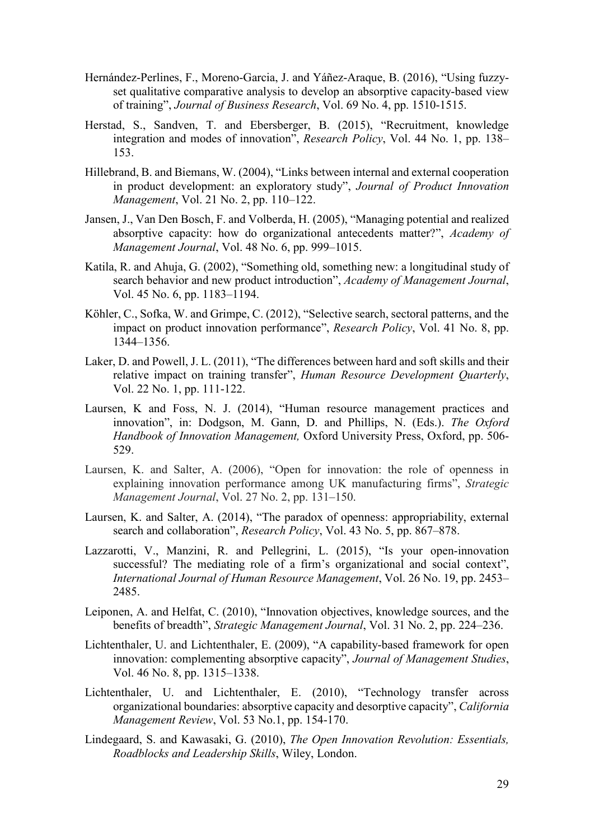- Hernández-Perlines, F., Moreno-Garcia, J. and Yáñez-Araque, B. (2016), "Using fuzzyset qualitative comparative analysis to develop an absorptive capacity-based view of training", *Journal of Business Research*, Vol. 69 No. 4, pp. 1510-1515.
- Herstad, S., Sandven, T. and Ebersberger, B. (2015), "Recruitment, knowledge integration and modes of innovation", *Research Policy*, Vol. 44 No. 1, pp. 138– 153.
- Hillebrand, B. and Biemans, W. (2004), "Links between internal and external cooperation in product development: an exploratory study", *Journal of Product Innovation Management*, Vol. 21 No. 2, pp. 110–122.
- Jansen, J., Van Den Bosch, F. and Volberda, H. (2005), "Managing potential and realized absorptive capacity: how do organizational antecedents matter?", *Academy of Management Journal*, Vol. 48 No. 6, pp. 999–1015.
- Katila, R. and Ahuja, G. (2002), "Something old, something new: a longitudinal study of search behavior and new product introduction", *Academy of Management Journal*, Vol. 45 No. 6, pp. 1183–1194.
- Köhler, C., Sofka, W. and Grimpe, C. (2012), "Selective search, sectoral patterns, and the impact on product innovation performance", *Research Policy*, Vol. 41 No. 8, pp. 1344–1356.
- Laker, D. and Powell, J. L. (2011), "The differences between hard and soft skills and their relative impact on training transfer", *Human Resource Development Quarterly*, Vol. 22 No. 1, pp. 111-122.
- Laursen, K and Foss, N. J. (2014), "Human resource management practices and innovation", in: Dodgson, M. Gann, D. and Phillips, N. (Eds.). *The Oxford Handbook of Innovation Management,* Oxford University Press, Oxford, pp. 506- 529.
- Laursen, K. and Salter, A. (2006), "Open for innovation: the role of openness in explaining innovation performance among UK manufacturing firms", *Strategic Management Journal*, Vol. 27 No. 2, pp. 131–150.
- Laursen, K. and Salter, A. (2014), "The paradox of openness: appropriability, external search and collaboration", *Research Policy*, Vol. 43 No. 5, pp. 867–878.
- Lazzarotti, V., Manzini, R. and Pellegrini, L. (2015), "Is your open-innovation successful? The mediating role of a firm's organizational and social context", *International Journal of Human Resource Management*, Vol. 26 No. 19, pp. 2453– 2485.
- Leiponen, A. and Helfat, C. (2010), "Innovation objectives, knowledge sources, and the benefits of breadth", *Strategic Management Journal*, Vol. 31 No. 2, pp. 224–236.
- Lichtenthaler, U. and Lichtenthaler, E. (2009), "A capability‐based framework for open innovation: complementing absorptive capacity", *Journal of Management Studies*, Vol. 46 No. 8, pp. 1315–1338.
- Lichtenthaler, U. and Lichtenthaler, E. (2010), "Technology transfer across organizational boundaries: absorptive capacity and desorptive capacity", *California Management Review*, Vol. 53 No.1, pp. 154-170.
- Lindegaard, S. and Kawasaki, G. (2010), *The Open Innovation Revolution: Essentials, Roadblocks and Leadership Skills*, Wiley, London.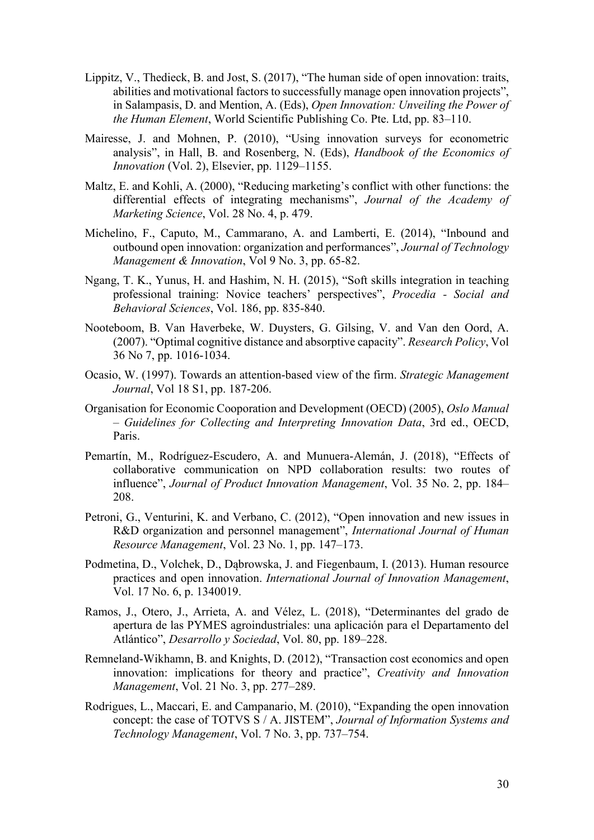- Lippitz, V., Thedieck, B. and Jost, S. (2017), "The human side of open innovation: traits, abilities and motivational factors to successfully manage open innovation projects", in Salampasis, D. and Mention, A. (Eds), *Open Innovation: Unveiling the Power of the Human Element*, World Scientific Publishing Co. Pte. Ltd, pp. 83–110.
- Mairesse, J. and Mohnen, P. (2010), "Using innovation surveys for econometric analysis", in Hall, B. and Rosenberg, N. (Eds), *Handbook of the Economics of Innovation* (Vol. 2), Elsevier, pp. 1129–1155.
- Maltz, E. and Kohli, A. (2000), "Reducing marketing's conflict with other functions: the differential effects of integrating mechanisms", *Journal of the Academy of Marketing Science*, Vol. 28 No. 4, p. 479.
- Michelino, F., Caputo, M., Cammarano, A. and Lamberti, E. (2014), "Inbound and outbound open innovation: organization and performances", *Journal of Technology Management & Innovation*, Vol 9 No. 3, pp. 65-82.
- Ngang, T. K., Yunus, H. and Hashim, N. H. (2015), "Soft skills integration in teaching professional training: Novice teachers' perspectives", *Procedia - Social and Behavioral Sciences*, Vol. 186, pp. 835-840.
- Nooteboom, B. Van Haverbeke, W. Duysters, G. Gilsing, V. and Van den Oord, A. (2007). "Optimal cognitive distance and absorptive capacity". *Research Policy*, Vol 36 No 7, pp. 1016-1034.
- Ocasio, W. (1997). Towards an attention‐based view of the firm. *Strategic Management Journal*, Vol 18 S1, pp. 187-206.
- Organisation for Economic Cooporation and Development (OECD) (2005), *Oslo Manual – Guidelines for Collecting and Interpreting Innovation Data*, 3rd ed., OECD, Paris.
- Pemartín, M., Rodríguez‐Escudero, A. and Munuera‐Alemán, J. (2018), "Effects of collaborative communication on NPD collaboration results: two routes of influence", *Journal of Product Innovation Management*, Vol. 35 No. 2, pp. 184– 208.
- Petroni, G., Venturini, K. and Verbano, C. (2012), "Open innovation and new issues in R&D organization and personnel management", *International Journal of Human Resource Management*, Vol. 23 No. 1, pp. 147–173.
- Podmetina, D., Volchek, D., Dąbrowska, J. and Fiegenbaum, I. (2013). Human resource practices and open innovation. *International Journal of Innovation Management*, Vol. 17 No. 6, p. 1340019.
- Ramos, J., Otero, J., Arrieta, A. and Vélez, L. (2018), "Determinantes del grado de apertura de las PYMES agroindustriales: una aplicación para el Departamento del Atlántico", *Desarrollo y Sociedad*, Vol. 80, pp. 189–228.
- Remneland-Wikhamn, B. and Knights, D. (2012), "Transaction cost economics and open innovation: implications for theory and practice", *Creativity and Innovation Management*, Vol. 21 No. 3, pp. 277–289.
- Rodrigues, L., Maccari, E. and Campanario, M. (2010), "Expanding the open innovation concept: the case of TOTVS S / A. JISTEM", *Journal of Information Systems and Technology Management*, Vol. 7 No. 3, pp. 737–754.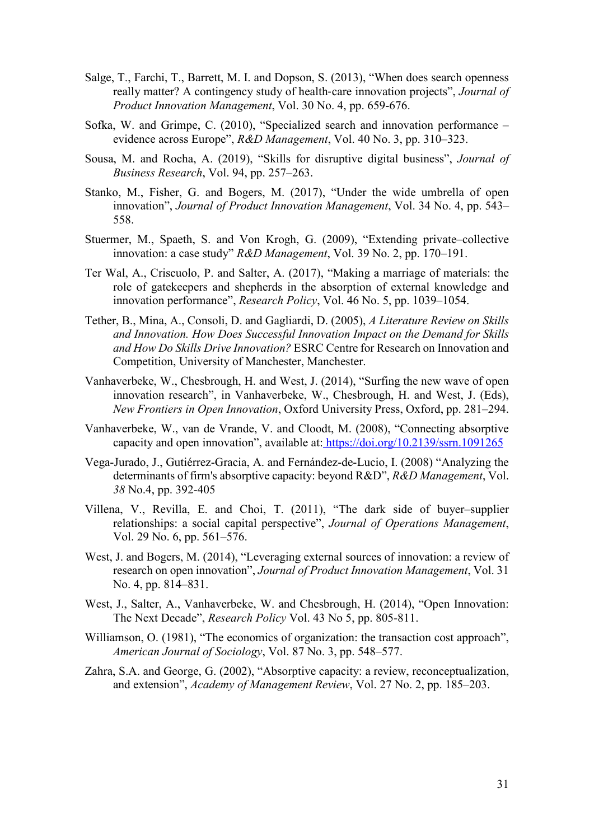- Salge, T., Farchi, T., Barrett, M. I. and Dopson, S. (2013), "When does search openness really matter? A contingency study of health‐care innovation projects", *Journal of Product Innovation Management*, Vol. 30 No. 4, pp. 659-676.
- Sofka, W. and Grimpe, C. (2010), "Specialized search and innovation performance evidence across Europe", *R&D Management*, Vol. 40 No. 3, pp. 310–323.
- Sousa, M. and Rocha, A. (2019), "Skills for disruptive digital business", *Journal of Business Research*, Vol. 94, pp. 257–263.
- Stanko, M., Fisher, G. and Bogers, M. (2017), "Under the wide umbrella of open innovation", *Journal of Product Innovation Management*, Vol. 34 No. 4, pp. 543– 558.
- Stuermer, M., Spaeth, S. and Von Krogh, G. (2009), "Extending private–collective innovation: a case study" *R&D Management*, Vol. 39 No. 2, pp. 170–191.
- Ter Wal, A., Criscuolo, P. and Salter, A. (2017), "Making a marriage of materials: the role of gatekeepers and shepherds in the absorption of external knowledge and innovation performance", *Research Policy*, Vol. 46 No. 5, pp. 1039–1054.
- Tether, B., Mina, A., Consoli, D. and Gagliardi, D. (2005), *A Literature Review on Skills and Innovation. How Does Successful Innovation Impact on the Demand for Skills and How Do Skills Drive Innovation?* ESRC Centre for Research on Innovation and Competition, University of Manchester, Manchester.
- Vanhaverbeke, W., Chesbrough, H. and West, J. (2014), "Surfing the new wave of open innovation research", in Vanhaverbeke, W., Chesbrough, H. and West, J. (Eds), *New Frontiers in Open Innovation*, Oxford University Press, Oxford, pp. 281–294.
- Vanhaverbeke, W., van de Vrande, V. and Cloodt, M. (2008), "Connecting absorptive capacity and open innovation", available at: <https://doi.org/10.2139/ssrn.1091265>
- Vega‐Jurado, J., Gutiérrez‐Gracia, A. and Fernández‐de‐Lucio, I. (2008) "Analyzing the determinants of firm's absorptive capacity: beyond R&D", *R&D Management*, Vol. *38* No.4, pp. 392-405
- Villena, V., Revilla, E. and Choi, T. (2011), "The dark side of buyer–supplier relationships: a social capital perspective", *Journal of Operations Management*, Vol. 29 No. 6, pp. 561–576.
- West, J. and Bogers, M. (2014), "Leveraging external sources of innovation: a review of research on open innovation", *Journal of Product Innovation Management*, Vol. 31 No. 4, pp. 814–831.
- West, J., Salter, A., Vanhaverbeke, W. and Chesbrough, H. (2014), "Open Innovation: The Next Decade", *Research Policy* Vol. 43 No 5, pp. 805-811.
- Williamson, O. (1981), "The economics of organization: the transaction cost approach", *[American Journal of Sociology](https://es.wikipedia.org/wiki/American_Journal_of_Sociology)*, Vol. 87 No. 3, pp. [548–](http://www.jstor.org/pss/2778934)577.
- Zahra, S.A. and George, G. (2002), "Absorptive capacity: a review, reconceptualization, and extension", *Academy of Management Review*, Vol. 27 No. 2, pp. 185–203.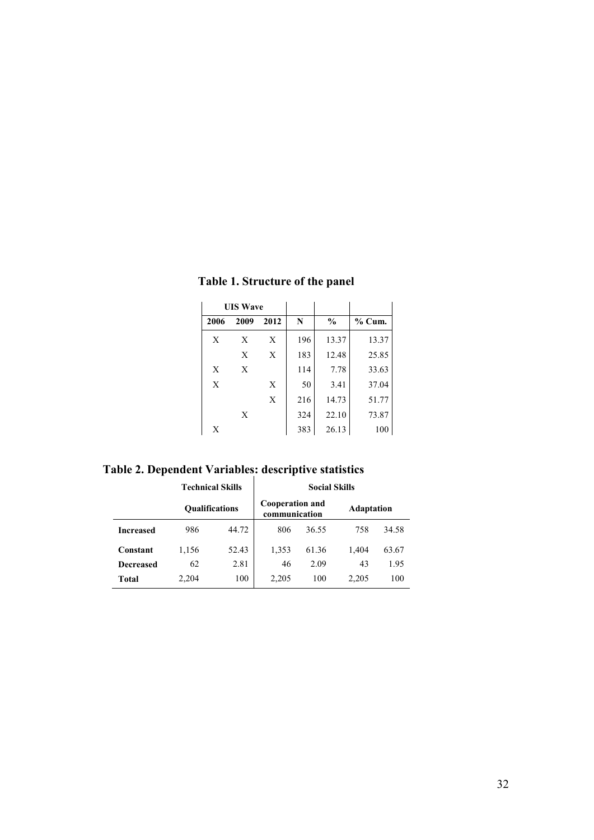| <b>UIS Wave</b> |      |      |     |               |          |
|-----------------|------|------|-----|---------------|----------|
| 2006            | 2009 | 2012 | N   | $\frac{0}{0}$ | $%$ Cum. |
| X               | X    | X    | 196 | 13.37         | 13.37    |
|                 | X    | X    | 183 | 12.48         | 25.85    |
| X               | X    |      | 114 | 7.78          | 33.63    |
| X               |      | X    | 50  | 3.41          | 37.04    |
|                 |      | X    | 216 | 14.73         | 51.77    |
|                 | X    |      | 324 | 22.10         | 73.87    |
| X               |      |      | 383 | 26.13         | 100      |

**Table 1. Structure of the panel**

**Table 2. Dependent Variables: descriptive statistics**

|                  | <b>Technical Skills</b> | <b>Social Skills</b> |                                         |       |                   |       |
|------------------|-------------------------|----------------------|-----------------------------------------|-------|-------------------|-------|
|                  | <b>Oualifications</b>   |                      | <b>Cooperation and</b><br>communication |       | <b>Adaptation</b> |       |
| <b>Increased</b> | 986                     | 44.72                | 806                                     | 36.55 | 758               | 34.58 |
| Constant         | 1,156                   | 52.43                | 1,353                                   | 61.36 | 1,404             | 63.67 |
| <b>Decreased</b> | 62                      | 2.81                 | 46                                      | 2.09  | 43                | 1.95  |
| Total            | 2,204                   | 100                  | 2,205                                   | 100   | 2,205             | 100   |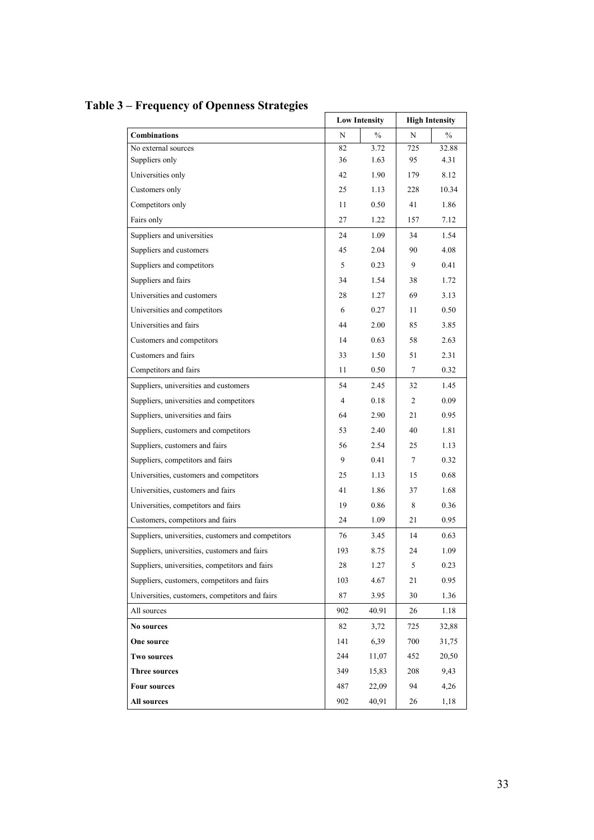|                                                    | <b>Low Intensity</b> |       | <b>High Intensity</b> |               |
|----------------------------------------------------|----------------------|-------|-----------------------|---------------|
| <b>Combinations</b>                                | N                    | $\%$  | N                     | $\frac{0}{0}$ |
| No external sources                                | 82                   | 3.72  | 725                   | 32.88         |
| Suppliers only                                     | 36                   | 1.63  | 95                    | 4.31          |
| Universities only                                  | 42                   | 1.90  | 179                   | 8.12          |
| Customers only                                     | 25                   | 1.13  | 228                   | 10.34         |
| Competitors only                                   | 11                   | 0.50  | 41                    | 1.86          |
| Fairs only                                         | 27                   | 1.22  | 157                   | 7.12          |
| Suppliers and universities                         | 24                   | 1.09  | 34                    | 1.54          |
| Suppliers and customers                            | 45                   | 2.04  | 90                    | 4.08          |
| Suppliers and competitors                          | 5                    | 0.23  | 9                     | 0.41          |
| Suppliers and fairs                                | 34                   | 1.54  | 38                    | 1.72          |
| Universities and customers                         | 28                   | 1.27  | 69                    | 3.13          |
| Universities and competitors                       | 6                    | 0.27  | 11                    | 0.50          |
| Universities and fairs                             | 44                   | 2.00  | 85                    | 3.85          |
| Customers and competitors                          | 14                   | 0.63  | 58                    | 2.63          |
| Customers and fairs                                | 33                   | 1.50  | 51                    | 2.31          |
| Competitors and fairs                              | 11                   | 0.50  | 7                     | 0.32          |
| Suppliers, universities and customers              | 54                   | 2.45  | 32                    | 1.45          |
| Suppliers, universities and competitors            | 4                    | 0.18  | 2                     | 0.09          |
| Suppliers, universities and fairs                  | 64                   | 2.90  | 21                    | 0.95          |
| Suppliers, customers and competitors               | 53                   | 2.40  | 40                    | 1.81          |
| Suppliers, customers and fairs                     | 56                   | 2.54  | 25                    | 1.13          |
| Suppliers, competitors and fairs                   | 9                    | 0.41  | 7                     | 0.32          |
| Universities, customers and competitors            | 25                   | 1.13  | 15                    | 0.68          |
| Universities, customers and fairs                  | 41                   | 1.86  | 37                    | 1.68          |
| Universities, competitors and fairs                | 19                   | 0.86  | 8                     | 0.36          |
| Customers, competitors and fairs                   | 24                   | 1.09  | 21                    | 0.95          |
| Suppliers, universities, customers and competitors | 76                   | 3.45  | 14                    | 0.63          |
| Suppliers, universities, customers and fairs       | 193                  | 8.75  | 24                    | 1.09          |
| Suppliers, universities, competitors and fairs     | 28                   | 1.27  | 5                     | 0.23          |
| Suppliers, customers, competitors and fairs        | 103                  | 4.67  | 21                    | 0.95          |
| Universities, customers, competitors and fairs     | 87                   | 3.95  | 30                    | 1.36          |
| All sources                                        | 902                  | 40.91 | 26                    | 1.18          |
| No sources                                         | 82                   | 3,72  | 725                   | 32,88         |
| One source                                         | 141                  | 6,39  | 700                   | 31,75         |
| <b>Two sources</b>                                 | 244                  | 11,07 | 452                   | 20,50         |
| <b>Three sources</b>                               | 349                  | 15,83 | 208                   | 9,43          |
| <b>Four sources</b>                                | 487                  | 22,09 | 94                    | 4,26          |
| All sources                                        | 902                  | 40,91 | 26                    | 1,18          |

# **Table 3 – Frequency of Openness Strategies**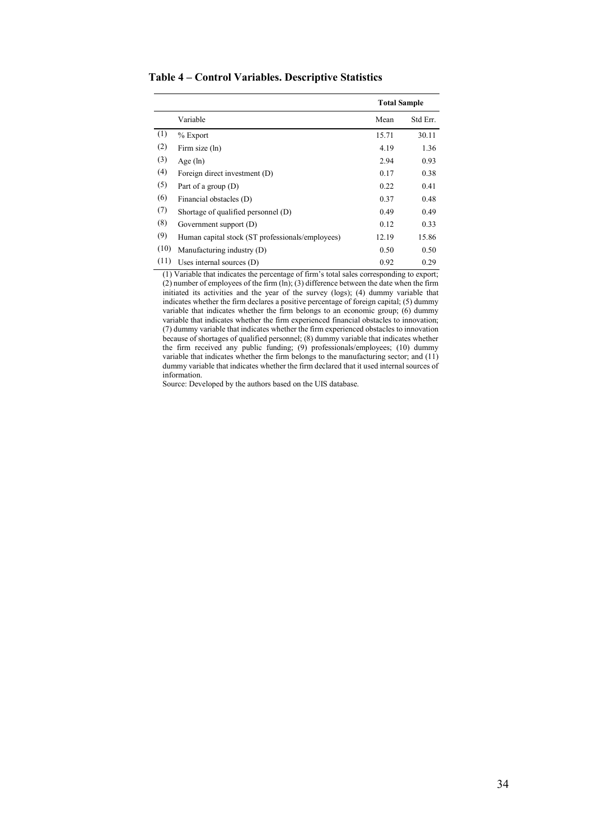|      |                                                  | <b>Total Sample</b> |          |
|------|--------------------------------------------------|---------------------|----------|
|      | Variable                                         | Mean                | Std Err. |
| (1)  | $%$ Export                                       | 15.71               | 30.11    |
| (2)  | Firm size (ln)                                   | 4.19                | 1.36     |
| (3)  | Age $(ln)$                                       | 2.94                | 0.93     |
| (4)  | Foreign direct investment (D)                    | 0.17                | 0.38     |
| (5)  | Part of a group $(D)$                            | 0.22                | 0.41     |
| (6)  | Financial obstacles (D)                          | 0.37                | 0.48     |
| (7)  | Shortage of qualified personnel (D)              | 0.49                | 0.49     |
| (8)  | Government support (D)                           | 0.12                | 0.33     |
| (9)  | Human capital stock (ST professionals/employees) | 12.19               | 15.86    |
| (10) | Manufacturing industry (D)                       | 0.50                | 0.50     |
| (11) | Uses internal sources $(D)$                      | 0.92                | 0.29     |

**Table 4 – Control Variables. Descriptive Statistics**

(1) Variable that indicates the percentage of firm's total sales corresponding to export;  $(2)$  number of employees of the firm  $(ln)$ ;  $(3)$  difference between the date when the firm initiated its activities and the year of the survey (logs); (4) dummy variable that indicates whether the firm declares a positive percentage of foreign capital; (5) dummy variable that indicates whether the firm belongs to an economic group;  $(6)$  dummy variable that indicates whether the firm experienced financial obstacles to innovation; (7) dummy variable that indicates whether the firm experienced obstacles to innovation because of shortages of qualified personnel; (8) dummy variable that indicates whether the firm received any public funding; (9) professionals/employees; (10) dummy variable that indicates whether the firm belongs to the manufacturing sector; and (11) dummy variable that indicates whether the firm declared that it used internal sources of information.

Source: Developed by the authors based on the UIS database.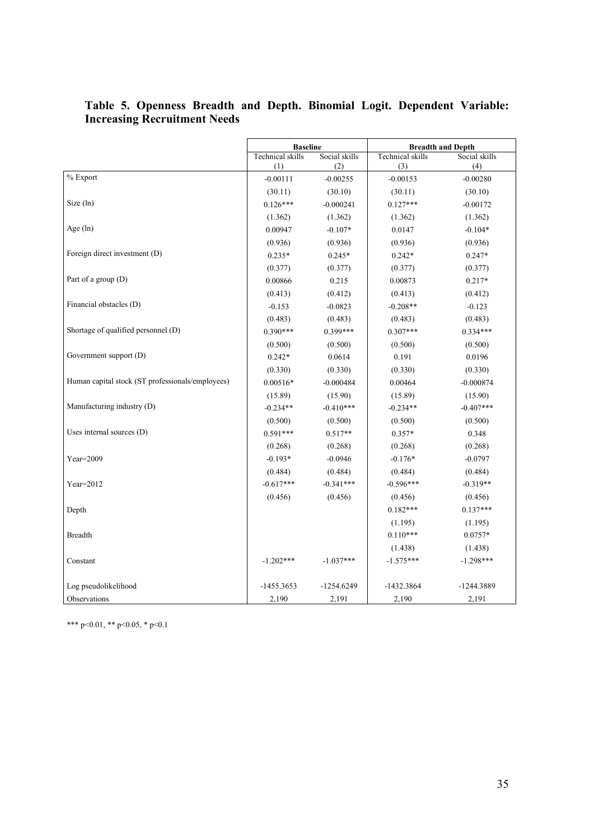|                                                  | <b>Baseline</b>  |               | <b>Breadth and Depth</b> |               |
|--------------------------------------------------|------------------|---------------|--------------------------|---------------|
|                                                  | Technical skills | Social skills | <b>Technical</b> skills  | Social skills |
|                                                  | (1)              | (2)           | (3)                      | (4)           |
| % Export                                         | $-0.00111$       | $-0.00255$    | $-0.00153$               | $-0.00280$    |
|                                                  | (30.11)          | (30.10)       | (30.11)                  | (30.10)       |
| Size (ln)                                        | $0.126***$       | $-0.000241$   | $0.127***$               | $-0.00172$    |
|                                                  | (1.362)          | (1.362)       | (1.362)                  | (1.362)       |
| Age $(ln)$                                       | 0.00947          | $-0.107*$     | 0.0147                   | $-0.104*$     |
|                                                  | (0.936)          | (0.936)       | (0.936)                  | (0.936)       |
| Foreign direct investment (D)                    | $0.235*$         | $0.245*$      | $0.242*$                 | $0.247*$      |
|                                                  | (0.377)          | (0.377)       | (0.377)                  | (0.377)       |
| Part of a group (D)                              | 0.00866          | 0.215         | 0.00873                  | $0.217*$      |
|                                                  | (0.413)          | (0.412)       | (0.413)                  | (0.412)       |
| Financial obstacles (D)                          | $-0.153$         | $-0.0823$     | $-0.208**$               | $-0.123$      |
|                                                  | (0.483)          | (0.483)       | (0.483)                  | (0.483)       |
| Shortage of qualified personnel (D)              | $0.390***$       | $0.399***$    | $0.307***$               | $0.334***$    |
|                                                  | (0.500)          | (0.500)       | (0.500)                  | (0.500)       |
| Government support (D)                           | $0.242*$         | 0.0614        | 0.191                    | 0.0196        |
|                                                  | (0.330)          | (0.330)       | (0.330)                  | (0.330)       |
| Human capital stock (ST professionals/employees) | $0.00516*$       | $-0.000484$   | 0.00464                  | $-0.000874$   |
|                                                  | (15.89)          | (15.90)       | (15.89)                  | (15.90)       |
| Manufacturing industry (D)                       | $-0.234**$       | $-0.410***$   | $-0.234**$               | $-0.407***$   |
|                                                  | (0.500)          | (0.500)       | (0.500)                  | (0.500)       |
| Uses internal sources (D)                        | $0.591***$       | $0.517**$     | $0.357*$                 | 0.348         |
|                                                  | (0.268)          | (0.268)       | (0.268)                  | (0.268)       |
| $Year=2009$                                      | $-0.193*$        | $-0.0946$     | $-0.176*$                | $-0.0797$     |
|                                                  | (0.484)          | (0.484)       | (0.484)                  | (0.484)       |
| $Year=2012$                                      | $-0.617***$      | $-0.341***$   | $-0.596***$              | $-0.319**$    |
|                                                  | (0.456)          | (0.456)       | (0.456)                  | (0.456)       |
| Depth                                            |                  |               | $0.182***$               | $0.137***$    |
|                                                  |                  |               | (1.195)                  | (1.195)       |
| <b>Breadth</b>                                   |                  |               | $0.110***$               | $0.0757*$     |
|                                                  |                  |               | (1.438)                  | (1.438)       |
| Constant                                         | $-1.202***$      | $-1.037***$   | $-1.575***$              | $-1.298***$   |
|                                                  |                  |               |                          |               |
| Log pseudolikelihood                             | $-1455.3653$     | -1254.6249    | -1432.3864               | -1244.3889    |
| Observations                                     | 2,190            | 2,191         | 2,190                    | 2,191         |

#### **Table 5. Openness Breadth and Depth. Binomial Logit. Dependent Variable: Increasing Recruitment Needs**

\*\*\* p<0.01, \*\* p<0.05, \* p<0.1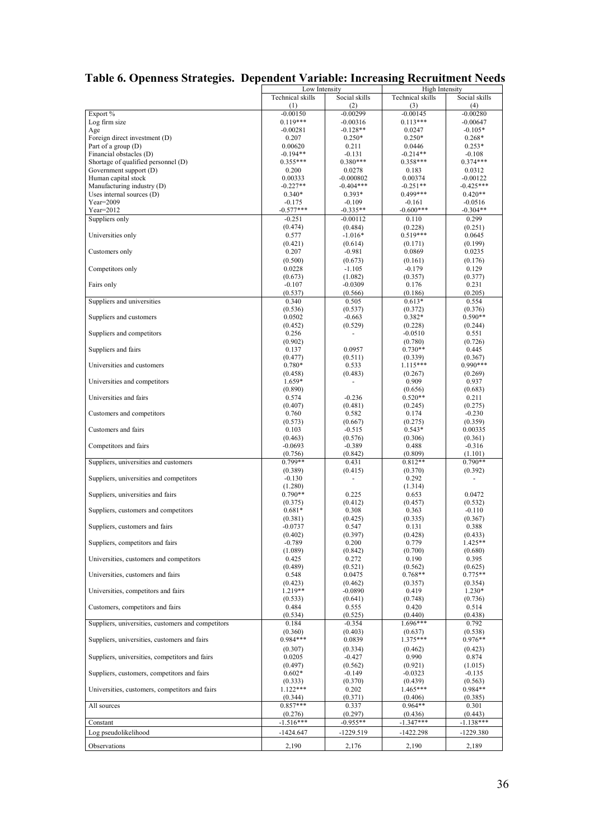|                                                    | Low Intensity    |                          | High Intensity   |                          |
|----------------------------------------------------|------------------|--------------------------|------------------|--------------------------|
|                                                    | Technical skills | Social skills            | Technical skills | Social skills            |
|                                                    | (1)              | (2)                      | (3)              | (4)                      |
| Export %                                           | $-0.00150$       | $-0.00299$               | $-0.00145$       | $-0.00280$               |
| Log firm size                                      | $0.119***$       | $-0.00316$               | $0.113***$       | $-0.00647$               |
|                                                    |                  |                          |                  |                          |
| Age                                                | $-0.00281$       | $-0.128**$               | 0.0247           | $-0.105*$                |
| Foreign direct investment (D)                      | 0.207            | $0.250*$                 | $0.250*$         | $0.268*$                 |
| Part of a group $(D)$                              | 0.00620          | 0.211                    | 0.0446           | $0.253*$                 |
| Financial obstacles (D)                            | $-0.194**$       | $-0.131$                 | $-0.214**$       | $-0.108$                 |
| Shortage of qualified personnel (D)                | $0.355***$       | $0.380***$               | $0.358***$       | $0.374***$               |
| Government support (D)                             | 0.200            | 0.0278                   | 0.183            | 0.0312                   |
| Human capital stock                                | 0.00333          | $-0.000802$              | 0.00374          | $-0.00122$               |
|                                                    |                  |                          |                  |                          |
| Manufacturing industry (D)                         | $-0.227**$       | $-0.404***$              | $-0.251**$       | $-0.425***$              |
| Uses internal sources (D)                          | $0.340*$         | $0.393*$                 | $0.499***$       | $0.420**$                |
| $Year=2009$                                        | $-0.175$         | $-0.109$                 | $-0.161$         | $-0.0516$                |
| $Year=2012$                                        | $-0.577***$      | $-0.335**$               | $-0.600***$      | $-0.304**$               |
| Suppliers only                                     | $-0.251$         | $-0.00112$               | 0.110            | 0.299                    |
|                                                    | (0.474)          |                          |                  |                          |
|                                                    |                  | (0.484)                  | (0.228)          | (0.251)                  |
| Universities only                                  | 0.577            | $-1.016*$                | $0.519***$       | 0.0645                   |
|                                                    | (0.421)          | (0.614)                  | (0.171)          | (0.199)                  |
| Customers only                                     | 0.207            | $-0.981$                 | 0.0869           | 0.0235                   |
|                                                    | (0.500)          | (0.673)                  | (0.161)          | (0.176)                  |
| Competitors only                                   | 0.0228           | $-1.105$                 | $-0.179$         | 0.129                    |
|                                                    |                  |                          |                  |                          |
|                                                    | (0.673)          | (1.082)                  | (0.357)          | (0.377)                  |
| Fairs only                                         | $-0.107$         | $-0.0309$                | 0.176            | 0.231                    |
|                                                    | (0.537)          | (0.566)                  | (0.186)          | (0.205)                  |
| Suppliers and universities                         | 0.340            | 0.505                    | $0.613*$         | 0.554                    |
|                                                    | (0.536)          | (0.537)                  | (0.372)          | (0.376)                  |
| Suppliers and customers                            | 0.0502           | $-0.663$                 | $0.382*$         | $0.590**$                |
|                                                    | (0.452)          | (0.529)                  | (0.228)          | (0.244)                  |
| Suppliers and competitors                          | 0.256            |                          | $-0.0510$        |                          |
|                                                    |                  |                          |                  | 0.551                    |
|                                                    | (0.902)          |                          | (0.780)          | (0.726)                  |
| Suppliers and fairs                                | 0.137            | 0.0957                   | $0.730**$        | 0.445                    |
|                                                    | (0.477)          | (0.511)                  | (0.339)          | (0.367)                  |
| Universities and customers                         | $0.780*$         | 0.533                    | 1.115***         | $0.990***$               |
|                                                    | (0.458)          | (0.483)                  | (0.267)          | (0.269)                  |
| Universities and competitors                       | $1.659*$         |                          | 0.909            | 0.937                    |
|                                                    | (0.890)          |                          | (0.656)          | (0.683)                  |
| Universities and fairs                             |                  | $-0.236$                 |                  |                          |
|                                                    | 0.574            |                          | $0.520**$        | 0.211                    |
|                                                    | (0.407)          | (0.481)                  | (0.245)          | (0.275)                  |
| Customers and competitors                          | 0.760            | 0.582                    | 0.174            | $-0.230$                 |
|                                                    | (0.573)          | (0.667)                  | (0.275)          | (0.359)                  |
| Customers and fairs                                | 0.103            | $-0.515$                 | $0.543*$         | 0.00335                  |
|                                                    | (0.463)          | (0.576)                  | (0.306)          | (0.361)                  |
| Competitors and fairs                              | $-0.0693$        | $-0.389$                 | 0.488            | $-0.316$                 |
|                                                    | (0.756)          | (0.842)                  | (0.809)          | (1.101)                  |
|                                                    | 0.799**          |                          |                  | $0.790**$                |
| Suppliers, universities and customers              |                  | 0.431                    | $0.812**$        |                          |
|                                                    | (0.389)          | (0.415)                  | (0.370)          | (0.392)                  |
| Suppliers, universities and competitors            | $-0.130$         | $\overline{\phantom{a}}$ | 0.292            | $\overline{\phantom{a}}$ |
|                                                    | (1.280)          |                          | (1.314)          |                          |
| Suppliers, universities and fairs                  | $0.790**$        | 0.225                    | 0.653            | 0.0472                   |
|                                                    | (0.375)          | (0.412)                  | (0.457)          | (0.532)                  |
| Suppliers, customers and competitors               | $0.681*$         | 0.308                    | 0.363            | $-0.110$                 |
|                                                    | (0.381)          | (0.425)                  | (0.335)          | (0.367)                  |
|                                                    |                  |                          |                  |                          |
| Suppliers, customers and fairs                     | $-0.0737$        | 0.547                    | 0.131            | 0.388                    |
|                                                    | (0.402)          | (0.397)                  | (0.428)          | (0.433)                  |
| Suppliers, competitors and fairs                   | $-0.789$         | 0.200                    | 0.779            | $1.425**$                |
|                                                    | (1.089)          | (0.842)                  | (0.700)          | (0.680)                  |
| Universities, customers and competitors            | 0.425            | 0.272                    | 0.190            | 0.395                    |
|                                                    | (0.489)          | (0.521)                  | (0.562)          | (0.625)                  |
| Universities, customers and fairs                  | 0.548            | 0.0475                   | $0.768**$        | $0.775**$                |
|                                                    | (0.423)          | (0.462)                  | (0.357)          | (0.354)                  |
| Universities, competitors and fairs                | 1.219**          | $-0.0890$                |                  |                          |
|                                                    |                  |                          | 0.419            | $1.230*$                 |
|                                                    | (0.533)          | (0.641)                  | (0.748)          | (0.736)                  |
| Customers, competitors and fairs                   | 0.484            | 0.555                    | 0.420            | 0.514                    |
|                                                    | (0.534)          | (0.525)                  | (0.440)          | (0.438)                  |
| Suppliers, universities, customers and competitors | 0.184            | $-0.354$                 | $1.696***$       | 0.792                    |
|                                                    | (0.360)          | (0.403)                  | (0.637)          | (0.538)                  |
| Suppliers, universities, customers and fairs       | $0.984***$       | 0.0839                   | $1.375***$       | $0.976**$                |
|                                                    |                  |                          |                  |                          |
|                                                    | (0.307)          | (0.334)                  | (0.462)          | (0.423)                  |
| Suppliers, universities, competitors and fairs     | 0.0205           | $-0.427$                 | 0.990            | 0.874                    |
|                                                    | (0.497)          | (0.562)                  | (0.921)          | (1.015)                  |
| Suppliers, customers, competitors and fairs        | $0.602*$         | $-0.149$                 | $-0.0323$        | $-0.135$                 |
|                                                    | (0.333)          | (0.370)                  | (0.439)          | (0.563)                  |
| Universities, customers, competitors and fairs     | $1.122***$       | 0.202                    | 1.465***         | $0.984**$                |
|                                                    |                  |                          |                  |                          |
|                                                    | (0.344)          | (0.371)                  | (0.406)          | (0.385)                  |
| All sources                                        | $0.857***$       | 0.337                    | $0.964**$        | 0.301                    |
|                                                    | (0.276)          | (0.297)                  | (0.436)          | (0.443)                  |
| Constant                                           | $-1.516***$      | $-0.955**$               | $-1.347***$      | $-1.138***$              |
| Log pseudolikelihood                               | -1424.647        | -1229.519                |                  |                          |
|                                                    |                  |                          | -1422.298        | -1229.380                |
| Observations                                       | 2,190            | 2,176                    | 2,190            | 2,189                    |
|                                                    |                  |                          |                  |                          |

## **Table 6. Openness Strategies. Dependent Variable: Increasing Recruitment Needs**